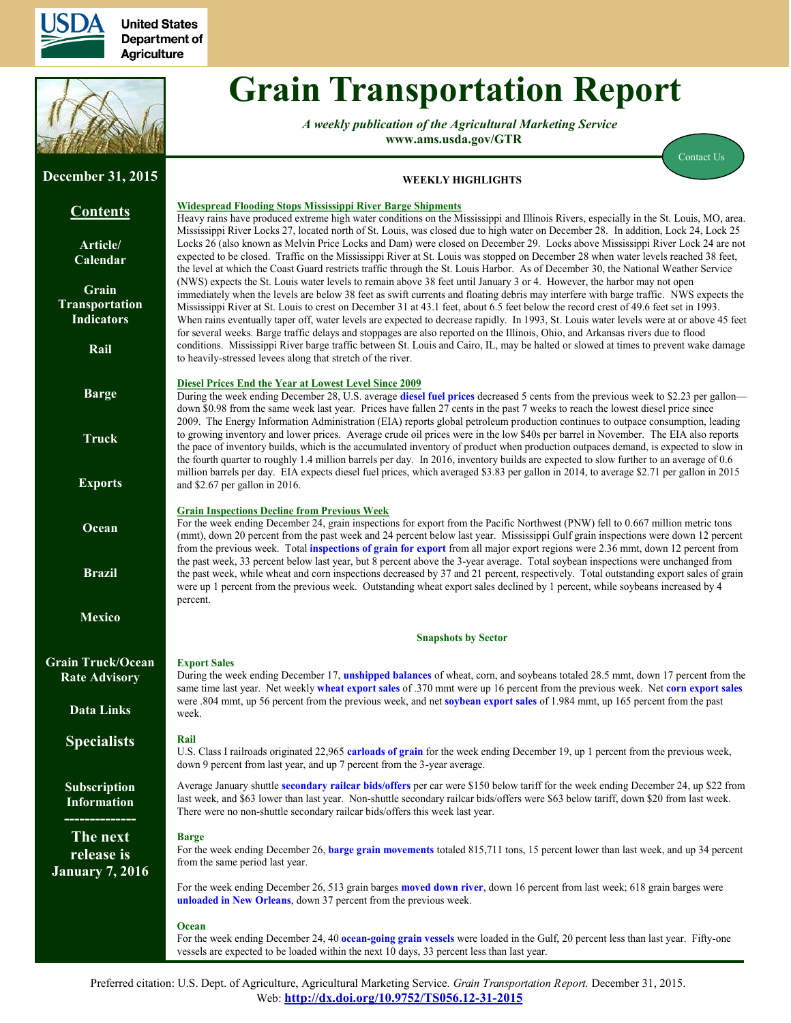

**United States** Department of **Agriculture** 



**December 31, 2015**

# **Grain Transportation Report**

*A weekly publication of the Agricultural Marketing Service*  **www.ams.usda.gov/GTR**



## **WEEKLY HIGHLIGHTS**

#### **Contents Article/ [Calendar](#page-1-0) Grain [Transportation](#page-2-0) Indicators [Rail](#page-3-0) [Barge](#page-9-0) [Truck](#page-12-0) [Exports](#page-13-0) [Ocean](#page-17-0) [Brazil](http://www.ams.usda.gov/AMSv1.0/ams.fetchTemplateData.do?template=TemplateA&navID=AgriculturalTransportation&leftNav=AgriculturalTransportation&page=ATBrazilExportSoybeanTransportIndicatorReports&description=Brazil%20Export%20Soybean%20Transport%20Indicato) [Mexico](http://www.ams.usda.gov/AMSv1.0/ams.fetchTemplateData.do?template=TemplateA&navID=AgriculturalTransportation&leftNav=AgriculturalTransportation&page=ATMexicoTransportCostIndicatorReports&description=Mexico%20Transport%20Cost%20Indicator%20Reports&acct=grai) [Grain Truck/Ocean](http://www.ams.usda.gov/services/transportation-analysis/gtor) Rate Advisory [Data Links](http://www.ams.usda.gov/AMSv1.0/ams.fetchTemplateData.do?template=TemplateA&navID=AgriculturalTransportation&leftNav=AgriculturalTransportation&page=ATGTRDatasets&description=GTR%20Datasets) [Specialists](#page-20-0) Subscription Information -------------- The next release is January 7, 2016 Widespread Flooding Stops Mississippi River Barge Shipments** Heavy rains have produced extreme high water conditions on the Mississippi and Illinois Rivers, especially in the St. Louis, MO, area. Mississippi River Locks 27, located north of St. Louis, was closed due to high water on December 28. In addition, Lock 24, Lock 25 Locks 26 (also known as Melvin Price Locks and Dam) were closed on December 29. Locks above Mississippi River Lock 24 are not expected to be closed. Traffic on the Mississippi River at St. Louis was stopped on December 28 when water levels reached 38 feet, the level at which the Coast Guard restricts traffic through the St. Louis Harbor. As of December 30, the National Weather Service (NWS) expects the St. Louis water levels to remain above 38 feet until January 3 or 4. However, the harbor may not open immediately when the levels are below 38 feet as swift currents and floating debris may interfere with barge traffic. NWS expects the Mississippi River at St. Louis to crest on December 31 at 43.1 feet, about 6.5 feet below the record crest of 49.6 feet set in 1993. When rains eventually taper off, water levels are expected to decrease rapidly. In 1993, St. Louis water levels were at or above 45 feet for several weeks. Barge traffic delays and stoppages are also reported on the Illinois, Ohio, and Arkansas rivers due to flood conditions. Mississippi River barge traffic between St. Louis and Cairo, IL, may be halted or slowed at times to prevent wake damage to heavily-stressed levees along that stretch of the river. **Diesel Prices End the Year at Lowest Level Since 2009** During the week ending December 28, U.S. average **[diesel fuel prices](#page-12-1)** decreased 5 cents from the previous week to \$2.23 per gallon down \$0.98 from the same week last year. Prices have fallen 27 cents in the past 7 weeks to reach the lowest diesel price since 2009. The Energy Information Administration (EIA) reports global petroleum production continues to outpace consumption, leading to growing inventory and lower prices. Average crude oil prices were in the low \$40s per barrel in November. The EIA also reports the pace of inventory builds, which is the accumulated inventory of product when production outpaces demand, is expected to slow in the fourth quarter to roughly 1.4 million barrels per day. In 2016, inventory builds are expected to slow further to an average of 0.6 million barrels per day. EIA expects diesel fuel prices, which averaged \$3.83 per gallon in 2014, to average \$2.71 per gallon in 2015 and \$2.67 per gallon in 2016. **Grain Inspections Decline from Previous Week** For the week ending December 24, grain inspections for export from the Pacific Northwest (PNW) fell to 0.667 million metric tons (mmt), down 20 percen<sup>t</sup> from the past week and 24 percent below last year. Mississippi Gulf grain inspections were down 12 percent from the previous week. Total **[inspections of grain](#page-15-0) for export** from all major export regions were 2.36 mmt, down 12 percen<sup>t</sup> from the past week, 33 percent below last year, but 8 percent above the 3-year average. Total soybean inspections were unchanged from the past week, while wheat and corn inspections decreased by 37 and 21 percent, respectively. Total outstanding export sales of grain were up 1 percent from the previous week. Outstanding wheat export sales declined by 1 percent, while soybeans increased by 4 percent. **Snapshots by Sector Export Sales** During the week ending December 17, **[unshipped balances](#page-13-1)** of wheat, corn, and soybeans totaled 28.5 mmt, down 17 percent from the same time last year. Net weekly **[wheat export sales](#page-14-0)** of .370 mmt were up 16 percent from the previous week. Net **[corn expor](#page-13-1)t sales** were .804 mmt, up 56 percent from the previous week, and net **[soybean export sales](#page-14-0)** of 1.984 mmt, up 165 percent from the past week. **Rail** U.S. Class I railroads originated 22,965 **[carloads of grain](#page-4-0)** for the week ending December 19, up 1 percent from the previous week, down 9 percent from last year, and up 7 percent from the 3-year average. Average January shuttle **[secondary railcar bids/offers](#page-5-0)** per car were \$150 below tariff for the week ending December 24, up \$22 from last week, and \$63 lower than last year. Non-shuttle secondary railcar bids/offers were \$63 below tariff, down \$20 from last week. There were no non-shuttle secondary railcar bids/offers this week last year. **Barge** For the week ending December 26, **[barge grain movements](#page-10-0)** totaled 815,711 tons, 15 percent lower than last week, and up 34 percen<sup>t</sup> from the same period last year. For the week ending December 26, 513 grain barges **[moved down river](#page-11-0)**, down 16 percent from last week; 618 grain barges were **[unloaded in New Orleans](#page-11-0)**, down 37 percent from the previous week. **Ocean** For the week ending December 24, 40 **ocean-go[ing grain vessels](#page-17-1)** were loaded in the Gulf, 20 percent less than last year. Fifty-one vessels are expected to be loaded within the next 10 days, 33 percent less than last year.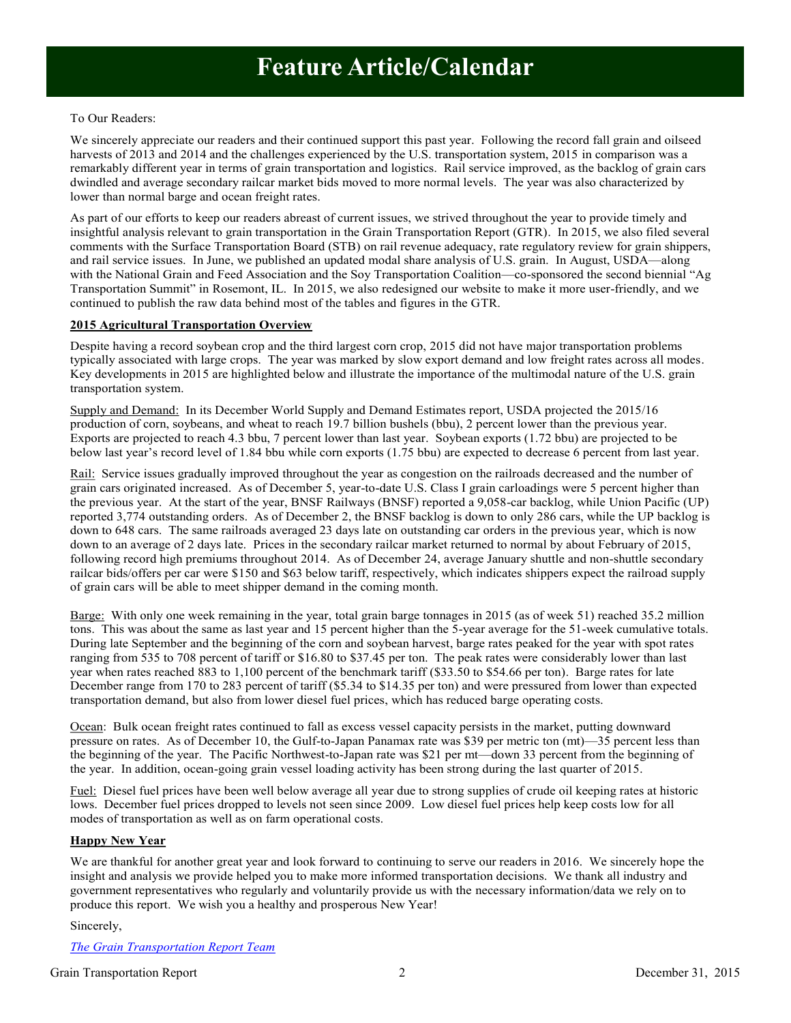### <span id="page-1-0"></span>To Our Readers:

We sincerely appreciate our readers and their continued support this past year. Following the record fall grain and oilseed harvests of 2013 and 2014 and the challenges experienced by the U.S. transportation system, 2015 in comparison was a remarkably different year in terms of grain transportation and logistics. Rail service improved, as the backlog of grain cars dwindled and average secondary railcar market bids moved to more normal levels. The year was also characterized by lower than normal barge and ocean freight rates.

As part of our efforts to keep our readers abreast of current issues, we strived throughout the year to provide timely and insightful analysis relevant to grain transportation in the Grain Transportation Report (GTR). In 2015, we also filed several comments with the Surface Transportation Board (STB) on rail revenue adequacy, rate regulatory review for grain shippers, and rail service issues. In June, we published an updated modal share analysis of U.S. grain. In August, USDA—along with the National Grain and Feed Association and the Soy Transportation Coalition—co-sponsored the second biennial "Ag Transportation Summit" in Rosemont, IL. In 2015, we also redesigned our website to make it more user-friendly, and we continued to publish the raw data behind most of the tables and figures in the GTR.

### **2015 Agricultural Transportation Overview**

Despite having a record soybean crop and the third largest corn crop, 2015 did not have major transportation problems typically associated with large crops. The year was marked by slow export demand and low freight rates across all modes. Key developments in 2015 are highlighted below and illustrate the importance of the multimodal nature of the U.S. grain transportation system.

Supply and Demand: In its December World Supply and Demand Estimates report, USDA projected the 2015/16 production of corn, soybeans, and wheat to reach 19.7 billion bushels (bbu), 2 percent lower than the previous year. Exports are projected to reach 4.3 bbu, 7 percent lower than last year. Soybean exports (1.72 bbu) are projected to be below last year's record level of 1.84 bbu while corn exports (1.75 bbu) are expected to decrease 6 percent from last year.

Rail: Service issues gradually improved throughout the year as congestion on the railroads decreased and the number of grain cars originated increased. As of December 5, year-to-date U.S. Class I grain carloadings were 5 percent higher than the previous year. At the start of the year, BNSF Railways (BNSF) reported a 9,058-car backlog, while Union Pacific (UP) reported 3,774 outstanding orders. As of December 2, the BNSF backlog is down to only 286 cars, while the UP backlog is down to 648 cars. The same railroads averaged 23 days late on outstanding car orders in the previous year, which is now down to an average of 2 days late. Prices in the secondary railcar market returned to normal by about February of 2015, following record high premiums throughout 2014. As of December 24, average January shuttle and non-shuttle secondary railcar bids/offers per car were \$150 and \$63 below tariff, respectively, which indicates shippers expect the railroad supply of grain cars will be able to meet shipper demand in the coming month.

Barge: With only one week remaining in the year, total grain barge tonnages in 2015 (as of week 51) reached 35.2 million tons. This was about the same as last year and 15 percent higher than the 5-year average for the 51-week cumulative totals. During late September and the beginning of the corn and soybean harvest, barge rates peaked for the year with spot rates ranging from 535 to 708 percent of tariff or \$16.80 to \$37.45 per ton. The peak rates were considerably lower than last year when rates reached 883 to 1,100 percent of the benchmark tariff (\$33.50 to \$54.66 per ton). Barge rates for late December range from 170 to 283 percent of tariff (\$5.34 to \$14.35 per ton) and were pressured from lower than expected transportation demand, but also from lower diesel fuel prices, which has reduced barge operating costs.

Ocean: Bulk ocean freight rates continued to fall as excess vessel capacity persists in the market, putting downward pressure on rates. As of December 10, the Gulf-to-Japan Panamax rate was \$39 per metric ton (mt)—35 percent less than the beginning of the year. The Pacific Northwest-to-Japan rate was \$21 per mt—down 33 percent from the beginning of the year. In addition, ocean-going grain vessel loading activity has been strong during the last quarter of 2015.

Fuel: Diesel fuel prices have been well below average all year due to strong supplies of crude oil keeping rates at historic lows. December fuel prices dropped to levels not seen since 2009. Low diesel fuel prices help keep costs low for all modes of transportation as well as on farm operational costs.

#### **Happy New Year**

We are thankful for another great year and look forward to continuing to serve our readers in 2016. We sincerely hope the insight and analysis we provide helped you to make more informed transportation decisions. We thank all industry and government representatives who regularly and voluntarily provide us with the necessary information/data we rely on to produce this report. We wish you a healthy and prosperous New Year!

#### Sincerely,

*The Grain Transportation Report Team*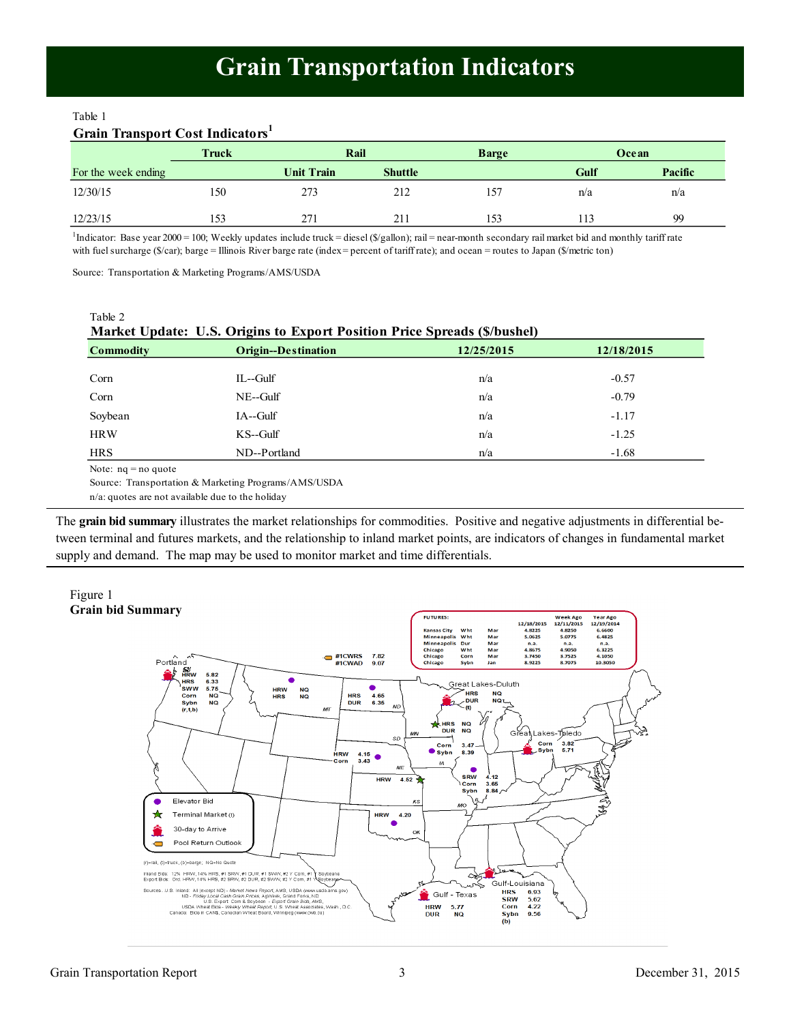## **Grain Transportation Indicators**

#### <span id="page-2-0"></span>Table 1

## **Grain Transport Cost Indicators<sup>1</sup>**

|                     | Truck | Rail       |                | <b>Barge</b> | Ocean |         |
|---------------------|-------|------------|----------------|--------------|-------|---------|
| For the week ending |       | Unit Train | <b>Shuttle</b> |              | Gulf  | Pacific |
| 12/30/15            | 150   | 273        | 212            | 157          | n/a   | n/a     |
| 12/23/15            | 153   | 271        | 211            | 153          |       | 99      |

<sup>1</sup>Indicator: Base year 2000 = 100; Weekly updates include truck = diesel (\$/gallon); rail = near-month secondary rail market bid and monthly tariff rate with fuel surcharge (\$/car); barge = Illinois River barge rate (index = percent of tariff rate); and ocean = routes to Japan (\$/metric ton)

Source: Transportation & Marketing Programs/AMS/USDA

| Table 2<br><b>Market Update: U.S. Origins to Export Position Price Spreads (\$/bushel)</b> |                            |            |            |  |  |  |  |  |
|--------------------------------------------------------------------------------------------|----------------------------|------------|------------|--|--|--|--|--|
| Commodity                                                                                  | <b>Origin--Destination</b> | 12/25/2015 | 12/18/2015 |  |  |  |  |  |
| Corn                                                                                       | $IL$ --Gulf                | n/a        | $-0.57$    |  |  |  |  |  |
| Corn                                                                                       | $NE$ -Gulf                 | n/a        | $-0.79$    |  |  |  |  |  |
| Soybean                                                                                    | $IA$ --Gulf                | n/a        | $-1.17$    |  |  |  |  |  |
| <b>HRW</b>                                                                                 | $KS$ --Gulf                | n/a        | $-1.25$    |  |  |  |  |  |
| <b>HRS</b>                                                                                 | ND--Portland               | n/a        | $-1.68$    |  |  |  |  |  |
| Matar $x = \pm 1$ and $y = \pm 1$                                                          |                            |            |            |  |  |  |  |  |

Note: nq = no quote

Source: Transportation & Marketing Programs/AMS/USDA

n/a: quotes are not available due to the holiday

The **grain bid summary** illustrates the market relationships for commodities. Positive and negative adjustments in differential between terminal and futures markets, and the relationship to inland market points, are indicators of changes in fundamental market supply and demand. The map may be used to monitor market and time differentials.



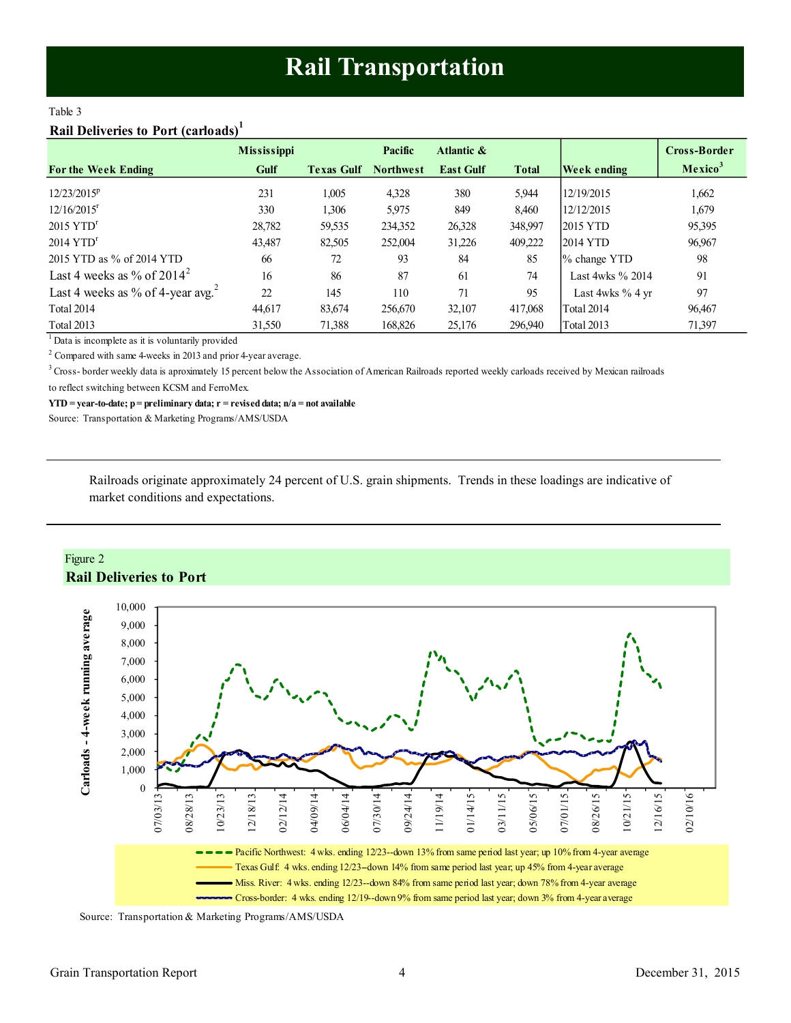## **Rail Transportation**

#### <span id="page-3-0"></span>Table 3

## **Rail Deliveries to Port (carloads)<sup>1</sup>**

|                                               | <b>Mississippi</b> |                   | Pacific          | Atlantic &       |              |                     | Cross-Border        |
|-----------------------------------------------|--------------------|-------------------|------------------|------------------|--------------|---------------------|---------------------|
| <b>For the Week Ending</b>                    | Gulf               | <b>Texas Gulf</b> | <b>Northwest</b> | <b>East Gulf</b> | <b>Total</b> | <b>Week ending</b>  | Mexico <sup>3</sup> |
| $12/23/2015^p$                                | 231                | 1,005             | 4,328            | 380              | 5.944        | 12/19/2015          | 1,662               |
| $12/16/2015$ <sup>r</sup>                     | 330                | 1,306             | 5,975            | 849              | 8,460        | 12/12/2015          | 1,679               |
| $2015$ YTD <sup>r</sup>                       | 28,782             | 59,535            | 234,352          | 26,328           | 348,997      | 2015 YTD            | 95,395              |
| $2014$ YTD <sup>r</sup>                       | 43,487             | 82,505            | 252,004          | 31,226           | 409,222      | 2014 YTD            | 96,967              |
| 2015 YTD as % of 2014 YTD                     | 66                 | 72                | 93               | 84               | 85           | % change YTD        | 98                  |
| Last 4 weeks as % of $2014^2$                 | 16                 | 86                | 87               | 61               | 74           | Last 4wks $\%$ 2014 | 91                  |
| Last 4 weeks as % of 4-year avg. <sup>2</sup> | 22                 | 145               | 110              | 71               | 95           | Last 4wks $\%$ 4 yr | 97                  |
| Total 2014                                    | 44,617             | 83,674            | 256,670          | 32,107           | 417,068      | Total 2014          | 96,467              |
| <b>Total 2013</b>                             | 31,550             | 71.388            | 168.826          | 25,176           | 296,940      | Total 2013          | 71,397              |

<sup>1</sup> Data is incomplete as it is voluntarily provided

 $2^2$  Compared with same 4-weeks in 2013 and prior 4-year average.

<sup>3</sup> Cross- border weekly data is aproximately 15 percent below the Association of American Railroads reported weekly carloads received by Mexican railroads

to reflect switching between KCSM and FerroMex.

**YTD = year-to-date; p = preliminary data; r = revised data; n/a = not available**

Source: Transportation & Marketing Programs/AMS/USDA

Railroads originate approximately 24 percent of U.S. grain shipments. Trends in these loadings are indicative of market conditions and expectations.





Source: Transportation & Marketing Programs/AMS/USDA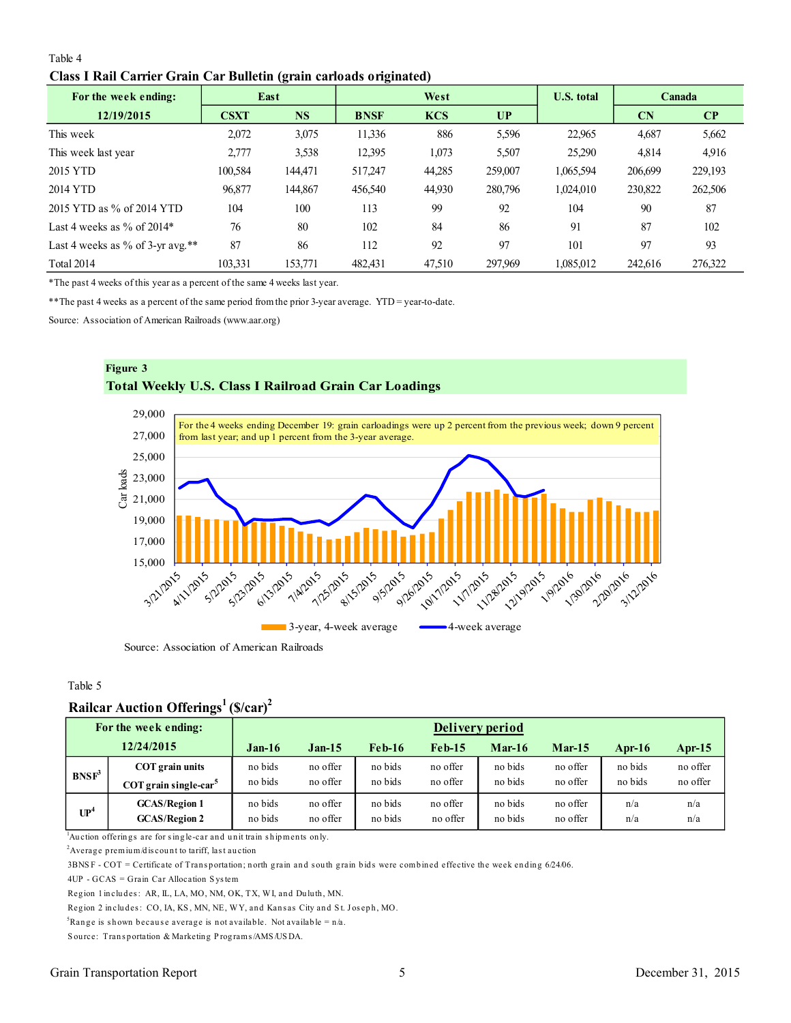<span id="page-4-0"></span>

| Table 4 |                                                                     |  |  |
|---------|---------------------------------------------------------------------|--|--|
|         | Class I Rail Carrier Grain Car Bulletin (grain carloads originated) |  |  |

| For the week ending:                |             | $\sim$<br>East |             | West       |         | <b>U.S. total</b> |         | <b>Canada</b> |
|-------------------------------------|-------------|----------------|-------------|------------|---------|-------------------|---------|---------------|
| 12/19/2015                          | <b>CSXT</b> | <b>NS</b>      | <b>BNSF</b> | <b>KCS</b> | UP      |                   | CN      | CP            |
| This week                           | 2,072       | 3,075          | 11,336      | 886        | 5,596   | 22,965            | 4,687   | 5,662         |
| This week last year                 | 2,777       | 3.538          | 12,395      | 1,073      | 5,507   | 25,290            | 4,814   | 4,916         |
| 2015 YTD                            | 100,584     | 144,471        | 517,247     | 44,285     | 259,007 | 1,065,594         | 206,699 | 229,193       |
| 2014 YTD                            | 96,877      | 144,867        | 456,540     | 44,930     | 280,796 | 1,024,010         | 230,822 | 262,506       |
| 2015 YTD as % of 2014 YTD           | 104         | 100            | 113         | 99         | 92      | 104               | 90      | 87            |
| Last 4 weeks as $\%$ of 2014*       | 76          | 80             | 102         | 84         | 86      | 91                | 87      | 102           |
| Last 4 weeks as $\%$ of 3-yr avg.** | 87          | 86             | 112         | 92         | 97      | 101               | 97      | 93            |
| Total 2014                          | 103,331     | 153,771        | 482,431     | 47,510     | 297,969 | 1,085,012         | 242,616 | 276,322       |

\*The past 4 weeks of this year as a percent of the same 4 weeks last year.

\*\*The past 4 weeks as a percent of the same period from the prior 3-year average. YTD = year-to-date.

Source: Association of American Railroads (www.aar.org)



Source: Association of American Railroads

#### Table 5

## **Railcar Auction Offerings<sup>1</sup>(\$/car)<sup>2</sup>**

|                   | For the week ending:                | Delivery period |          |               |          |          |          |         |           |
|-------------------|-------------------------------------|-----------------|----------|---------------|----------|----------|----------|---------|-----------|
|                   | 12/24/2015                          | $Jan-16$        | $Jan-15$ | <b>Feb-16</b> | $Feb-15$ | $Mar-16$ | $Mar-15$ | Apr-16  | Apr- $15$ |
| BNSF <sup>3</sup> | COT grain units                     | no bids         | no offer | no bids       | no offer | no bids  | no offer | no bids | no offer  |
|                   | $COT$ grain single-car <sup>5</sup> | no bids         | no offer | no bids       | no offer | no bids  | no offer | no bids | no offer  |
| $\mathbf{UP}^4$   | <b>GCAS/Region 1</b>                | no bids         | no offer | no bids       | no offer | no bids  | no offer | n/a     | n/a       |
|                   | <b>GCAS/Region 2</b>                | no bids         | no offer | no bids       | no offer | no bids  | no offer | n/a     | n/a       |

<sup>1</sup>Au ction offerings are for single-car and unit train shipments only.

 $2$ Average prem ium/d is count to tariff, last auction

3BNS F - COT = Certificate of Transportation; north grain and south grain bids were combined effective the week ending 6/24/06.

4UP - GCAS = Grain Car Allocation S ys tem

Region 1 in cludes: AR, IL, LA, MO, NM, OK, TX, WI, and Duluth, MN.

Region 2 includes: CO, IA, KS, MN, NE, WY, and Kansas City and St. Joseph, MO.

<sup>5</sup>Range is shown because average is not available. Not available =  $n/a$ .

Source: Transportation & Marketing Programs/AMS/USDA.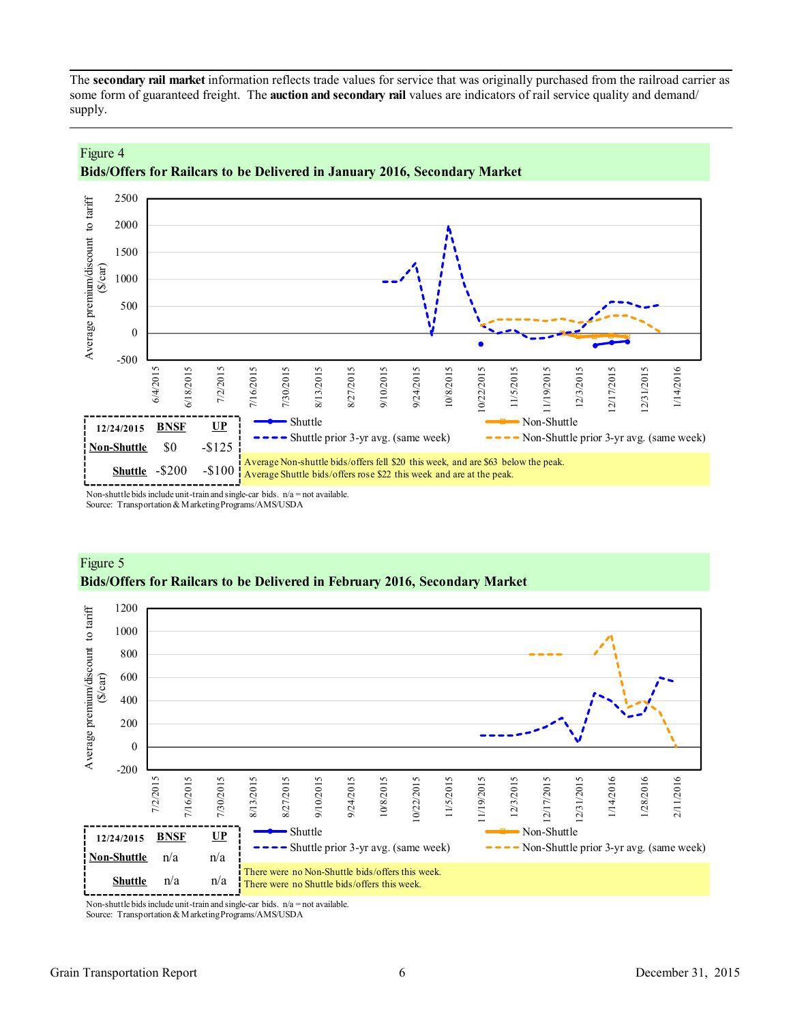<span id="page-5-0"></span>The **secondary rail market** information reflects trade values for service that was originally purchased from the railroad carrier as some form of guaranteed freight. The **auction and secondary rail** values are indicators of rail service quality and demand/ supply.



## **Bids/Offers for Railcars to be Delivered in January 2016, Secondary Market**

Non-shuttle bids include unit-train and single-car bids.  $n/a = not$  available. Source: Transportation & Marketing Programs/AMS/USDA

Figure 4



## Figure 5 **Bids/Offers for Railcars to be Delivered in February 2016, Secondary Market**

Non-shuttle bids include unit-train and single-car bids.  $n/a = not available$ . Source: Transportation & Marketing Programs/AMS/USDA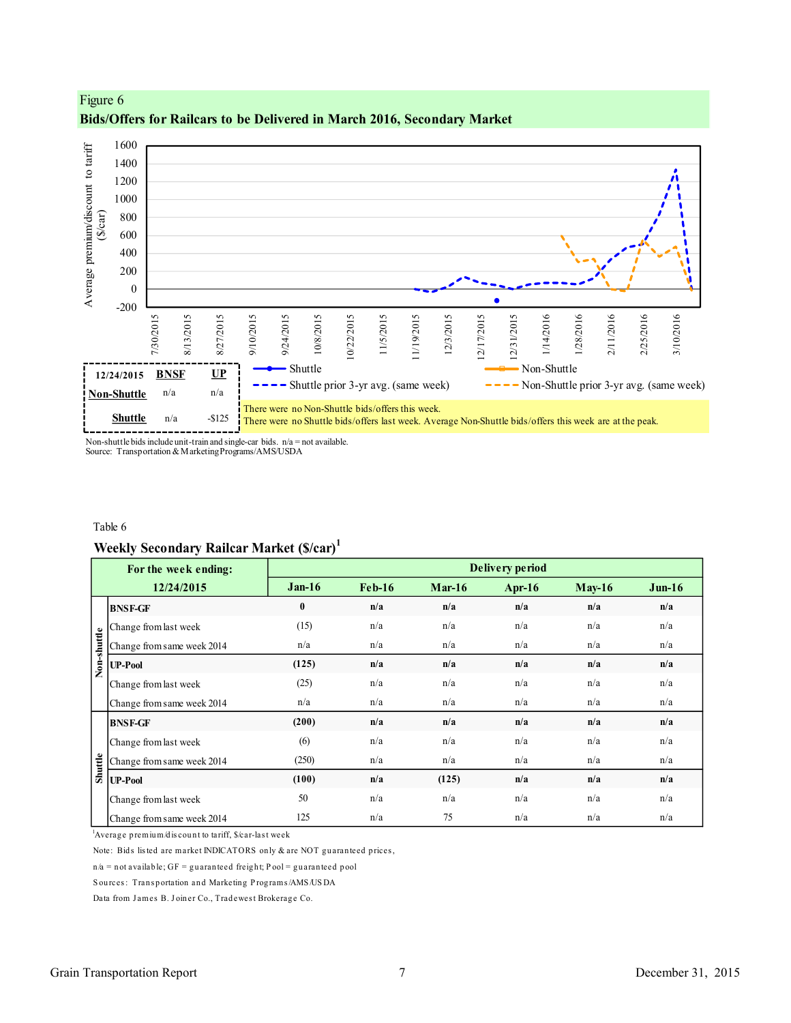



Non-shuttle bids include unit-train and single-car bids.  $n/a = not$  available. Source: Transportation & Marketing Programs/AMS/USDA

### Table 6

## **Weekly Secondary Railcar Market (\$/car)<sup>1</sup>**

|             | For the week ending:                                                      |          |          |          | Delivery period |          |          |
|-------------|---------------------------------------------------------------------------|----------|----------|----------|-----------------|----------|----------|
|             | 12/24/2015                                                                | $Jan-16$ | $Feb-16$ | $Mar-16$ | Apr- $16$       | $May-16$ | $Jun-16$ |
|             | <b>BNSF-GF</b>                                                            | $\bf{0}$ | n/a      | n/a      | n/a             | n/a      | n/a      |
|             | Change from last week                                                     | (15)     | n/a      | n/a      | n/a             | n/a      | n/a      |
| Non-shuttle | Change from same week 2014                                                | n/a      | n/a      | n/a      | n/a             | n/a      | n/a      |
|             | <b>UP-Pool</b>                                                            | (125)    | n/a      | n/a      | n/a             | n/a      | n/a      |
|             | Change from last week                                                     | (25)     | n/a      | n/a      | n/a             | n/a      | n/a      |
|             | Change from same week 2014                                                | n/a      | n/a      | n/a      | n/a             | n/a      | n/a      |
|             | <b>BNSF-GF</b>                                                            | (200)    | n/a      | n/a      | n/a             | n/a      | n/a      |
|             | Change from last week                                                     | (6)      | n/a      | n/a      | n/a             | n/a      | n/a      |
| Shuttle     | Change from same week 2014                                                | (250)    | n/a      | n/a      | n/a             | n/a      | n/a      |
|             | <b>UP-Pool</b>                                                            | (100)    | n/a      | (125)    | n/a             | n/a      | n/a      |
|             | Change from last week                                                     | 50       | n/a      | n/a      | n/a             | n/a      | n/a      |
|             | Change from same week 2014                                                | 125      | n/a      | 75       | n/a             | n/a      | n/a      |
|             | Average premium/discount to tariff, \$/car-last week                      |          |          |          |                 |          |          |
|             | Note: Bids listed are market INDICATORS only & are NOT guaranteed prices, |          |          |          |                 |          |          |
|             | $n/a$ = not available; GF = guaranteed freight; Pool = guaranteed pool    |          |          |          |                 |          |          |
|             | Sources: Transportation and Marketing Programs/AMS/USDA                   |          |          |          |                 |          |          |
|             | Data from James B. Joiner Co., Tradewest Brokerage Co.                    |          |          |          |                 |          |          |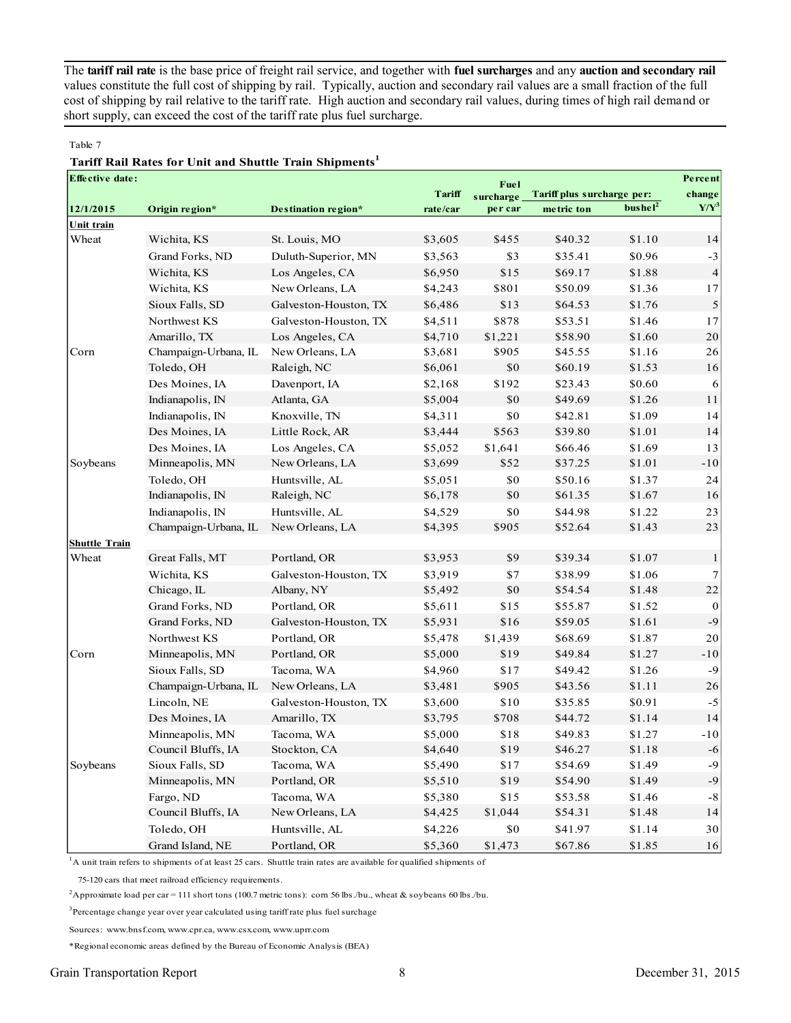The **tariff rail rate** is the base price of freight rail service, and together with **fuel surcharges** and any **auction and secondary rail** values constitute the full cost of shipping by rail. Typically, auction and secondary rail values are a small fraction of the full cost of shipping by rail relative to the tariff rate. High auction and secondary rail values, during times of high rail demand or short supply, can exceed the cost of the tariff rate plus fuel surcharge.

#### Table 7

## **Tariff Rail Rates for Unit and Shuttle Train Shipments<sup>1</sup>**

| <b>Effective date:</b> |                      |                       |          | Fuel      |                            | Percent             |                |
|------------------------|----------------------|-----------------------|----------|-----------|----------------------------|---------------------|----------------|
|                        |                      |                       | Tariff   | surcharge | Tariff plus surcharge per: |                     | change         |
| 12/1/2015              | Origin region*       | Destination region*   | rate/car | per car   | metric ton                 | bushel <sup>2</sup> | $Y/Y^3$        |
| <b>Unit train</b>      |                      |                       |          |           |                            |                     |                |
| Wheat                  | Wichita, KS          | St. Louis, MO         | \$3,605  | \$455     | \$40.32                    | \$1.10              | 14             |
|                        | Grand Forks, ND      | Duluth-Superior, MN   | \$3,563  | \$3       | \$35.41                    | \$0.96              | $-3$           |
|                        | Wichita, KS          | Los Angeles, CA       | \$6,950  | \$15      | \$69.17                    | \$1.88              | $\overline{4}$ |
|                        | Wichita, KS          | New Orleans, LA       | \$4,243  | \$801     | \$50.09                    | \$1.36              | 17             |
|                        | Sioux Falls, SD      | Galveston-Houston, TX | \$6,486  | \$13      | \$64.53                    | \$1.76              | $\sqrt{5}$     |
|                        | Northwest KS         | Galveston-Houston, TX | \$4,511  | \$878     | \$53.51                    | \$1.46              | 17             |
|                        | Amarillo, TX         | Los Angeles, CA       | \$4,710  | \$1,221   | \$58.90                    | \$1.60              | 20             |
| Corn                   | Champaign-Urbana, IL | New Orleans, LA       | \$3,681  | \$905     | \$45.55                    | \$1.16              | 26             |
|                        | Toledo, OH           | Raleigh, NC           | \$6,061  | \$0       | \$60.19                    | \$1.53              | 16             |
|                        | Des Moines, IA       | Davenport, IA         | \$2,168  | \$192     | \$23.43                    | \$0.60              | 6              |
|                        | Indianapolis, IN     | Atlanta, GA           | \$5,004  | \$0       | \$49.69                    | \$1.26              | 11             |
|                        | Indianapolis, IN     | Knoxville, TN         | \$4,311  | \$0       | \$42.81                    | \$1.09              | 14             |
|                        | Des Moines, IA       | Little Rock, AR       | \$3,444  | \$563     | \$39.80                    | \$1.01              | 14             |
|                        | Des Moines, IA       | Los Angeles, CA       | \$5,052  | \$1,641   | \$66.46                    | \$1.69              | 13             |
| Soybeans               | Minneapolis, MN      | New Orleans, LA       | \$3,699  | \$52      | \$37.25                    | \$1.01              | $-10$          |
|                        | Toledo, OH           | Huntsville, AL        | \$5,051  | \$0       | \$50.16                    | \$1.37              | 24             |
|                        | Indianapolis, IN     | Raleigh, NC           | \$6,178  | $\$0$     | \$61.35                    | \$1.67              | 16             |
|                        | Indianapolis, IN     | Huntsville, AL        | \$4,529  | $\$0$     | \$44.98                    | \$1.22              | 23             |
|                        | Champaign-Urbana, IL | New Orleans, LA       | \$4,395  | \$905     | \$52.64                    | \$1.43              | 23             |
| <b>Shuttle Train</b>   |                      |                       |          |           |                            |                     |                |
| Wheat                  | Great Falls, MT      | Portland, OR          | \$3,953  | \$9       | \$39.34                    | \$1.07              | 1              |
|                        | Wichita, KS          | Galveston-Houston, TX | \$3,919  | \$7       | \$38.99                    | \$1.06              | 7              |
|                        | Chicago, IL          | Albany, NY            | \$5,492  | \$0       | \$54.54                    | \$1.48              | $22\,$         |
|                        | Grand Forks, ND      | Portland, OR          | \$5,611  | \$15      | \$55.87                    | \$1.52              | $\mathbf{0}$   |
|                        | Grand Forks, ND      | Galveston-Houston, TX | \$5,931  | \$16      | \$59.05                    | \$1.61              | $-9$           |
|                        | Northwest KS         | Portland, OR          | \$5,478  | \$1,439   | \$68.69                    | \$1.87              | 20             |
| Corn                   | Minneapolis, MN      | Portland, OR          | \$5,000  | \$19      | \$49.84                    | \$1.27              | $-10$          |
|                        | Sioux Falls, SD      | Tacoma, WA            | \$4,960  | \$17      | \$49.42                    | \$1.26              | $-9$           |
|                        | Champaign-Urbana, IL | New Orleans, LA       | \$3,481  | \$905     | \$43.56                    | \$1.11              | 26             |
|                        | Lincoln, NE          | Galveston-Houston, TX | \$3,600  | \$10      | \$35.85                    | \$0.91              | $-5$           |
|                        | Des Moines, IA       | Amarillo, TX          | \$3,795  | \$708     | \$44.72                    | \$1.14              | 14             |
|                        | Minneapolis, MN      | Tacoma, WA            | \$5,000  | \$18      | \$49.83                    | \$1.27              | $-10$          |
|                        | Council Bluffs, IA   | Stockton, CA          | \$4,640  | \$19      | \$46.27                    | \$1.18              | $-6$           |
| Soybeans               | Sioux Falls, SD      | Tacoma, WA            | \$5,490  | \$17      | \$54.69                    | \$1.49              | $-9$           |
|                        | Minneapolis, MN      | Portland, OR          | \$5,510  | \$19      | \$54.90                    | \$1.49              | $\text{-}9$    |
|                        | Fargo, ND            | Tacoma, WA            | \$5,380  | \$15      | \$53.58                    | \$1.46              | $\text{-}8$    |
|                        | Council Bluffs, IA   | New Orleans, LA       | \$4,425  | \$1,044   | \$54.31                    | \$1.48              | $14\,$         |
|                        | Toledo, OH           | Huntsville, AL        | \$4,226  | $\$0$     | \$41.97                    | \$1.14              | $30\,$         |
|                        | Grand Island, NE     | Portland, OR          | \$5,360  | \$1,473   | \$67.86                    | \$1.85              | 16             |

<sup>1</sup>A unit train refers to shipments of at least 25 cars. Shuttle train rates are available for qualified shipments of

75-120 cars that meet railroad efficiency requirements.

<sup>2</sup>Approximate load per car = 111 short tons (100.7 metric tons): corn 56 lbs./bu., wheat & soybeans 60 lbs./bu.

<sup>3</sup>Percentage change year over year calculated using tariff rate plus fuel surchage

Sources: www.bnsf.com, www.cpr.ca, www.csx.com, www.uprr.com

\*Regional economic areas defined by the Bureau of Economic Analysis (BEA)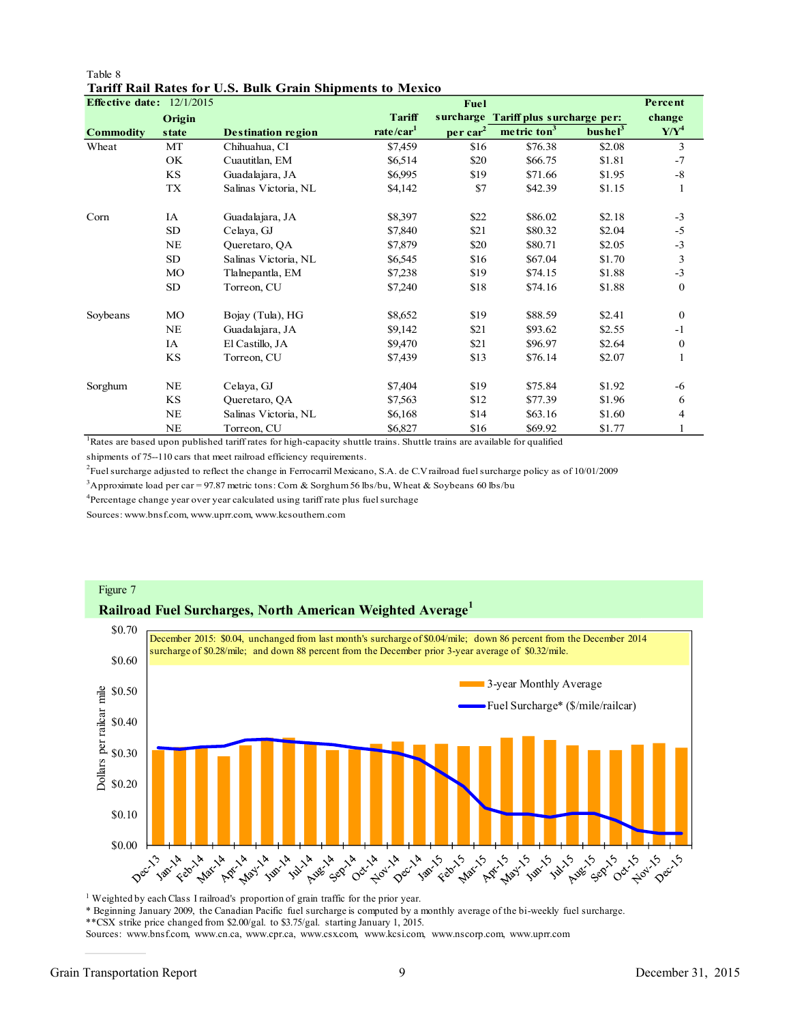| Table 8 |  |  |                                                           |  |
|---------|--|--|-----------------------------------------------------------|--|
|         |  |  | Tariff Rail Rates for U.S. Bulk Grain Shipments to Mexico |  |

| Effective date: $12/1/2015$ |           |                           |                       | Fuel                 |                                      |                     | Percent       |
|-----------------------------|-----------|---------------------------|-----------------------|----------------------|--------------------------------------|---------------------|---------------|
|                             | Origin    |                           | <b>Tariff</b>         |                      | surcharge Tariff plus surcharge per: |                     | change        |
| <b>Commodity</b>            | state     | <b>Destination region</b> | rate/car <sup>1</sup> | per car <sup>2</sup> | metric ton <sup>3</sup>              | bushel <sup>3</sup> | $Y/Y^4$       |
| Wheat                       | MT        | Chihuahua, CI             | \$7,459               | \$16                 | \$76.38                              | \$2.08              | 3             |
|                             | OK.       | Cuautitlan, EM            | \$6,514               | \$20                 | \$66.75                              | \$1.81              | $-7$          |
|                             | <b>KS</b> | Guadalajara, JA           | \$6,995               | \$19                 | \$71.66                              | \$1.95              | $\text{-}8$   |
|                             | TX        | Salinas Victoria, NL      | \$4,142               | \$7                  | \$42.39                              | \$1.15              | 1             |
| Corn                        | IA        | Guadalajara, JA           | \$8,397               | \$22                 | \$86.02                              | \$2.18              | $-3$          |
|                             | <b>SD</b> | Celaya, GJ                | \$7,840               | \$21                 | \$80.32                              | \$2.04              | $-5$          |
|                             | <b>NE</b> | Queretaro, QA             | \$7,879               | \$20                 | \$80.71                              | \$2.05              | $-3$          |
|                             | SD        | Salinas Victoria, NL      | \$6,545               | \$16                 | \$67.04                              | \$1.70              | $\mathfrak z$ |
|                             | MO        | Tlalnepantla, EM          | \$7,238               | \$19                 | \$74.15                              | \$1.88              | $-3$          |
|                             | SD        | Torreon, CU               | \$7,240               | \$18                 | \$74.16                              | \$1.88              | $\bf{0}$      |
| Soybeans                    | MO        | Bojay (Tula), HG          | \$8,652               | \$19                 | \$88.59                              | \$2.41              | $\Omega$      |
|                             | NE        | Guadalajara, JA           | \$9,142               | \$21                 | \$93.62                              | \$2.55              | $-1$          |
|                             | IA        | El Castillo, JA           | \$9,470               | \$21                 | \$96.97                              | \$2.64              | $\bf{0}$      |
|                             | KS        | Torreon, CU               | \$7,439               | \$13                 | \$76.14                              | \$2.07              | 1             |
| Sorghum                     | <b>NE</b> | Celaya, GJ                | \$7,404               | \$19                 | \$75.84                              | \$1.92              | -6            |
|                             | KS        | Queretaro, QA             | \$7,563               | \$12                 | \$77.39                              | \$1.96              | 6             |
|                             | NE        | Salinas Victoria, NL      | \$6,168               | \$14                 | \$63.16                              | \$1.60              | 4             |
|                             | <b>NE</b> | Torreon, CU               | \$6,827               | \$16                 | \$69.92                              | \$1.77              | 1             |

<sup>1</sup>Rates are based upon published tariff rates for high-capacity shuttle trains. Shuttle trains are available for qualified

shipments of 75--110 cars that meet railroad efficiency requirements.

<sup>2</sup> Fuel surcharge adjusted to reflect the change in Ferrocarril Mexicano, S.A. de C.V railroad fuel surcharge policy as of 10/01/2009

<sup>3</sup>Approximate load per car = 97.87 metric tons: Corn & Sorghum 56 lbs/bu, Wheat & Soybeans 60 lbs/bu

<sup>4</sup>Percentage change year over year calculated using tariff rate plus fuel surchage

Sources: www.bnsf.com, www.uprr.com, www.kcsouthern.com



<sup>1</sup> Weighted by each Class I railroad's proportion of grain traffic for the prior year.

\* Beginning January 2009, the Canadian Pacific fuel surcharge is computed by a monthly average of the bi-weekly fuel surcharge.

\*\*CSX strike price changed from \$2.00/gal. to \$3.75/gal. starting January 1, 2015.

Sources: www.bnsf.com, www.cn.ca, www.cpr.ca, www.csx.com, www.kcsi.com, www.nscorp.com, www.uprr.com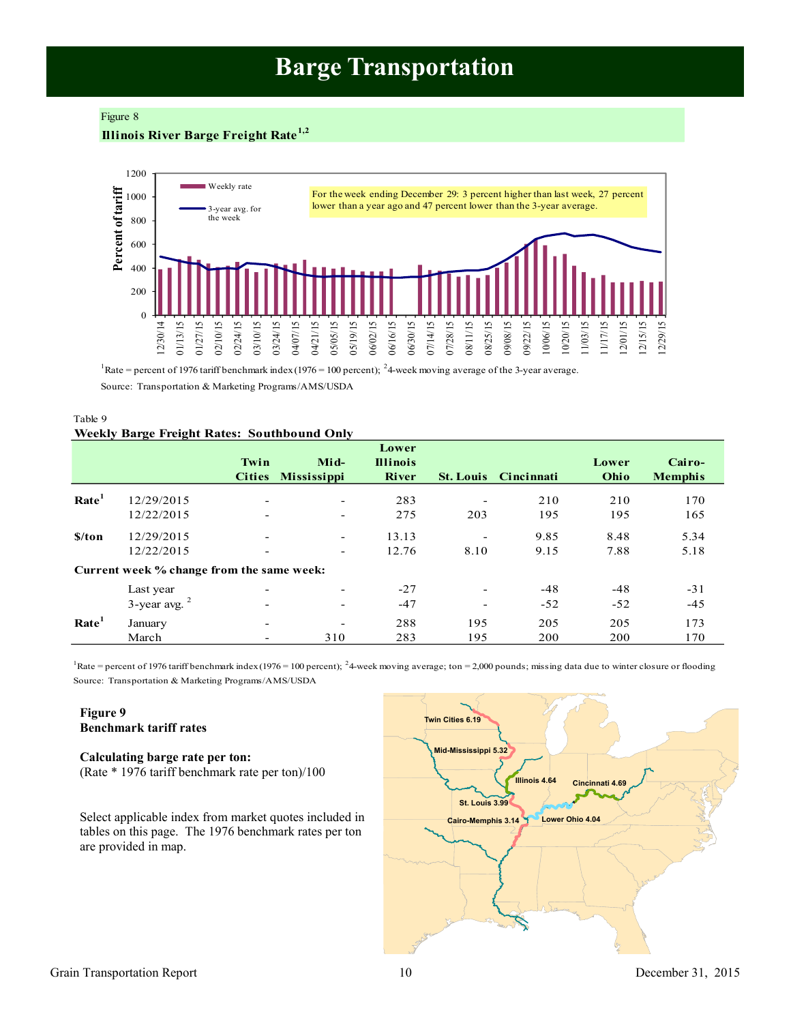## **Barge Transportation**

### <span id="page-9-0"></span>Figure 8

## **Illinois River Barge Freight Rate1,2**



<sup>1</sup>Rate = percent of 1976 tariff benchmark index (1976 = 100 percent); <sup>2</sup>4-week moving average of the 3-year average.

Source: Transportation & Marketing Programs/AMS/USDA

| Table 9                                            |  |
|----------------------------------------------------|--|
| <b>Weekly Barge Freight Rates: Southbound Only</b> |  |

|                      |                                           |                          |                          | Lower           |                          |                   |       |                |
|----------------------|-------------------------------------------|--------------------------|--------------------------|-----------------|--------------------------|-------------------|-------|----------------|
|                      |                                           | Twin                     | Mid-                     | <b>Illinois</b> |                          |                   | Lower | Cairo-         |
|                      |                                           |                          | Cities Mississippi       | <b>River</b>    | <b>St. Louis</b>         | <b>Cincinnati</b> | Ohio  | <b>Memphis</b> |
| Rate <sup>1</sup>    | 12/29/2015                                | $\overline{\phantom{a}}$ | $\overline{\phantom{a}}$ | 283             |                          | 210               | 210   | 170            |
|                      | 12/22/2015                                | $\overline{\phantom{a}}$ | -                        | 275             | 203                      | 195               | 195   | 165            |
| $\sqrt{\frac{1}{2}}$ | 12/29/2015                                | $\overline{\phantom{a}}$ | $\overline{\phantom{a}}$ | 13.13           | $\overline{\phantom{a}}$ | 9.85              | 8.48  | 5.34           |
|                      | 12/22/2015                                | $\overline{\phantom{a}}$ | -                        | 12.76           | 8.10                     | 9.15              | 7.88  | 5.18           |
|                      | Current week % change from the same week: |                          |                          |                 |                          |                   |       |                |
|                      | Last year                                 | -                        |                          | $-27$           | $\overline{\phantom{a}}$ | $-48$             | $-48$ | $-31$          |
|                      | $3$ -year avg. $2$                        | $\overline{\phantom{a}}$ | ۰                        | $-47$           | $\overline{\phantom{a}}$ | $-52$             | $-52$ | $-45$          |
| Rate <sup>1</sup>    | January                                   | $\overline{\phantom{a}}$ |                          | 288             | 195                      | 205               | 205   | 173            |
|                      | March                                     | $\overline{\phantom{0}}$ | 310                      | 283             | 195                      | 200               | 200   | 170            |

Source: Transportation & Marketing Programs/AMS/USDA Rate = percent of 1976 tariff benchmark index (1976 = 100 percent); <sup>2</sup>4-week moving average; ton = 2,000 pounds; missing data due to winter closure or flooding

## **Figure 9 Benchmark tariff rates**

## **Calculating barge rate per ton:**

(Rate \* 1976 tariff benchmark rate per ton)/100

Select applicable index from market quotes included in tables on this page. The 1976 benchmark rates per ton are provided in map.

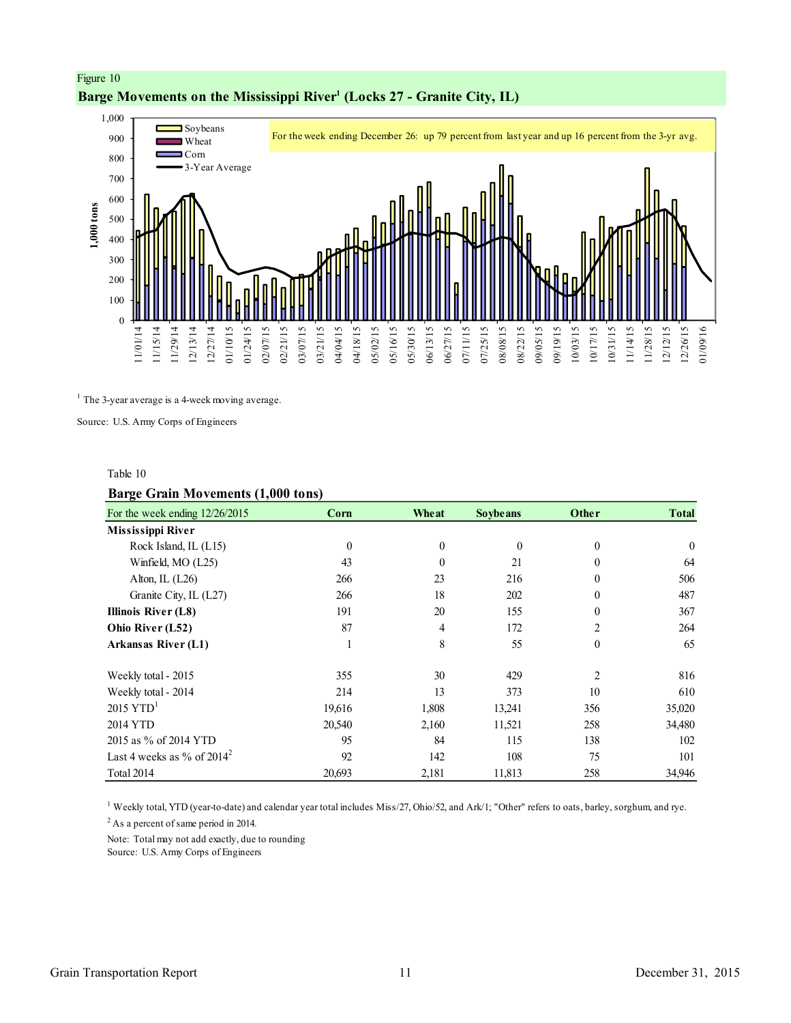

## <span id="page-10-0"></span>Figure 10 **Barge Movements on the Mississippi River<sup>1</sup> (Locks 27 - Granite City, IL)**

 $<sup>1</sup>$  The 3-year average is a 4-week moving average.</sup>

Source: U.S. Army Corps of Engineers

#### Table 10

## **Barge Grain Movements (1,000 tons)**

| ᇢ<br>For the week ending 12/26/2015 | Corn     | Wheat          | <b>Soybeans</b> | Other          | <b>Total</b> |
|-------------------------------------|----------|----------------|-----------------|----------------|--------------|
| Mississippi River                   |          |                |                 |                |              |
| Rock Island, IL (L15)               | $\theta$ | $\mathbf{0}$   | $\mathbf{0}$    | $\theta$       | $\theta$     |
| Winfield, MO (L25)                  | 43       | $\mathbf{0}$   | 21              | $\Omega$       | 64           |
| Alton, IL $(L26)$                   | 266      | 23             | 216             | $\theta$       | 506          |
| Granite City, IL (L27)              | 266      | 18             | 202             | $\mathbf{0}$   | 487          |
| <b>Illinois River (L8)</b>          | 191      | 20             | 155             | $\theta$       | 367          |
| Ohio River (L52)                    | 87       | $\overline{4}$ | 172             | $\overline{2}$ | 264          |
| Arkansas River (L1)                 |          | 8              | 55              | $\theta$       | 65           |
| Weekly total - 2015                 | 355      | 30             | 429             | 2              | 816          |
| Weekly total - 2014                 | 214      | 13             | 373             | 10             | 610          |
| $2015$ YTD <sup>1</sup>             | 19,616   | 1,808          | 13,241          | 356            | 35,020       |
| 2014 YTD                            | 20,540   | 2,160          | 11,521          | 258            | 34,480       |
| 2015 as % of 2014 YTD               | 95       | 84             | 115             | 138            | 102          |
| Last 4 weeks as % of $2014^2$       | 92       | 142            | 108             | 75             | 101          |
| Total 2014                          | 20,693   | 2,181          | 11,813          | 258            | 34,946       |

1 Weekly total, YTD (year-to-date) and calendar year total includes Miss/27, Ohio/52, and Ark/1; "Other" refers to oats, barley, sorghum, and rye.

<sup>2</sup> As a percent of same period in 2014.

Note: Total may not add exactly, due to rounding

Source: U.S. Army Corps of Engineers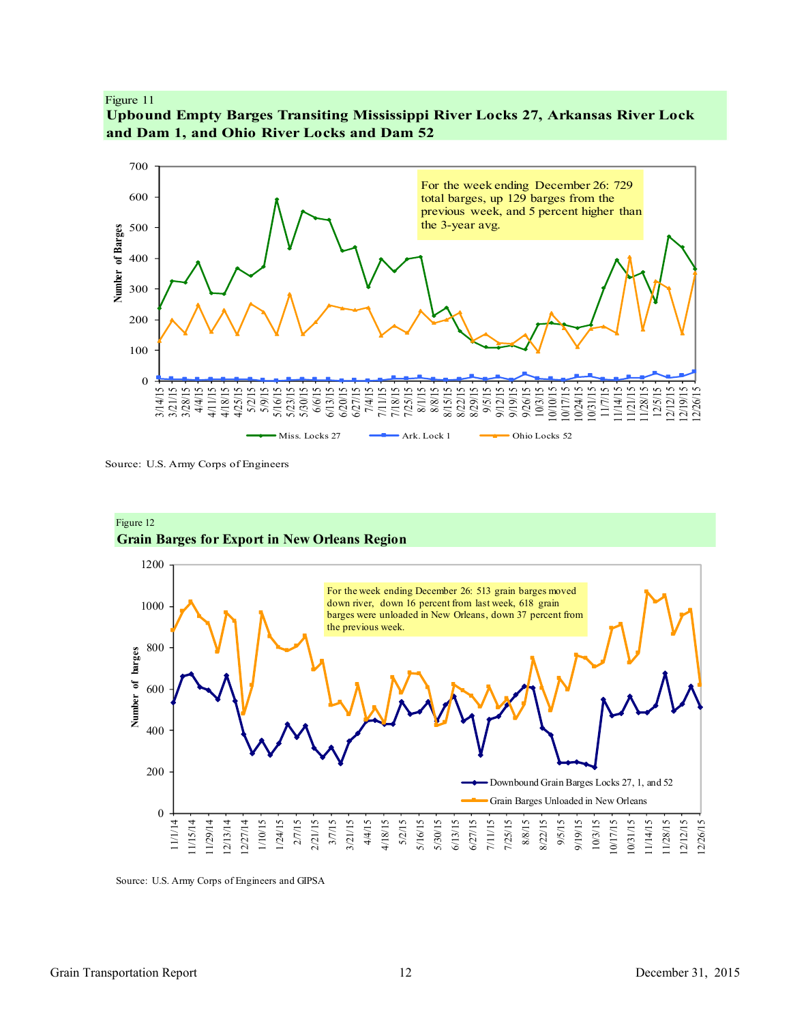#### <span id="page-11-0"></span>Figure 11





Source: U.S. Army Corps of Engineers



Figure 12 **Grain Barges for Export in New Orleans Region**

Source: U.S. Army Corps of Engineers and GIPSA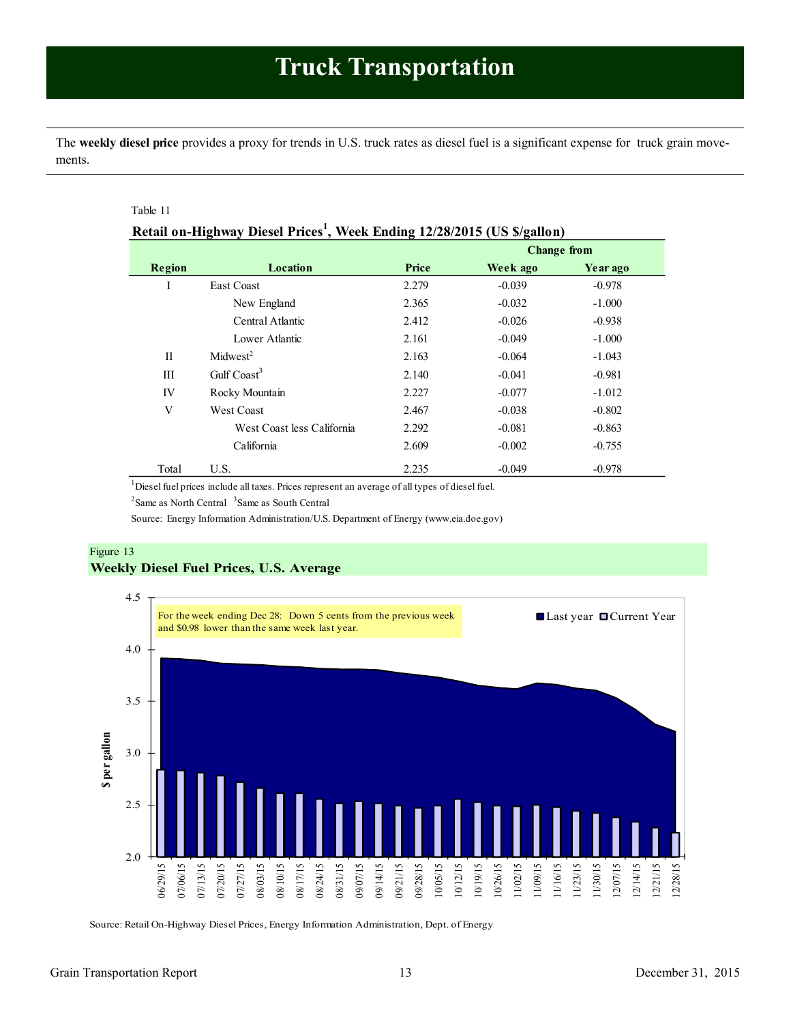<span id="page-12-1"></span><span id="page-12-0"></span>The **weekly diesel price** provides a proxy for trends in U.S. truck rates as diesel fuel is a significant expense for truck grain movements.

### Table 11

|              |                            |       | <b>Change from</b> |          |
|--------------|----------------------------|-------|--------------------|----------|
| Region       | Location                   | Price | Week ago           | Year ago |
| I            | East Coast                 | 2.279 | $-0.039$           | $-0.978$ |
|              | New England                | 2.365 | $-0.032$           | $-1.000$ |
|              | Central Atlantic           | 2.412 | $-0.026$           | $-0.938$ |
|              | Lower Atlantic             | 2.161 | $-0.049$           | $-1.000$ |
| $\mathbf{I}$ | Midwest <sup>2</sup>       | 2.163 | $-0.064$           | $-1.043$ |
| Ш            | Gulf $\text{Coast}^3$      | 2.140 | $-0.041$           | $-0.981$ |
| IV           | Rocky Mountain             | 2.227 | $-0.077$           | $-1.012$ |
| V            | <b>West Coast</b>          | 2.467 | $-0.038$           | $-0.802$ |
|              | West Coast less California | 2.292 | $-0.081$           | $-0.863$ |
|              | California                 | 2.609 | $-0.002$           | $-0.755$ |
| Total        | U.S.                       | 2.235 | $-0.049$           | $-0.978$ |

<sup>1</sup>Diesel fuel prices include all taxes. Prices represent an average of all types of diesel fuel.

 $2^2$ Same as North Central  $3^3$ Same as South Central

Source: Energy Information Administration/U.S. Department of Energy (www.eia.doe.gov)

## Figure 13 **Weekly Diesel Fuel Prices, U.S. Average**



Source: Retail On-Highway Diesel Prices, Energy Information Administration, Dept. of Energy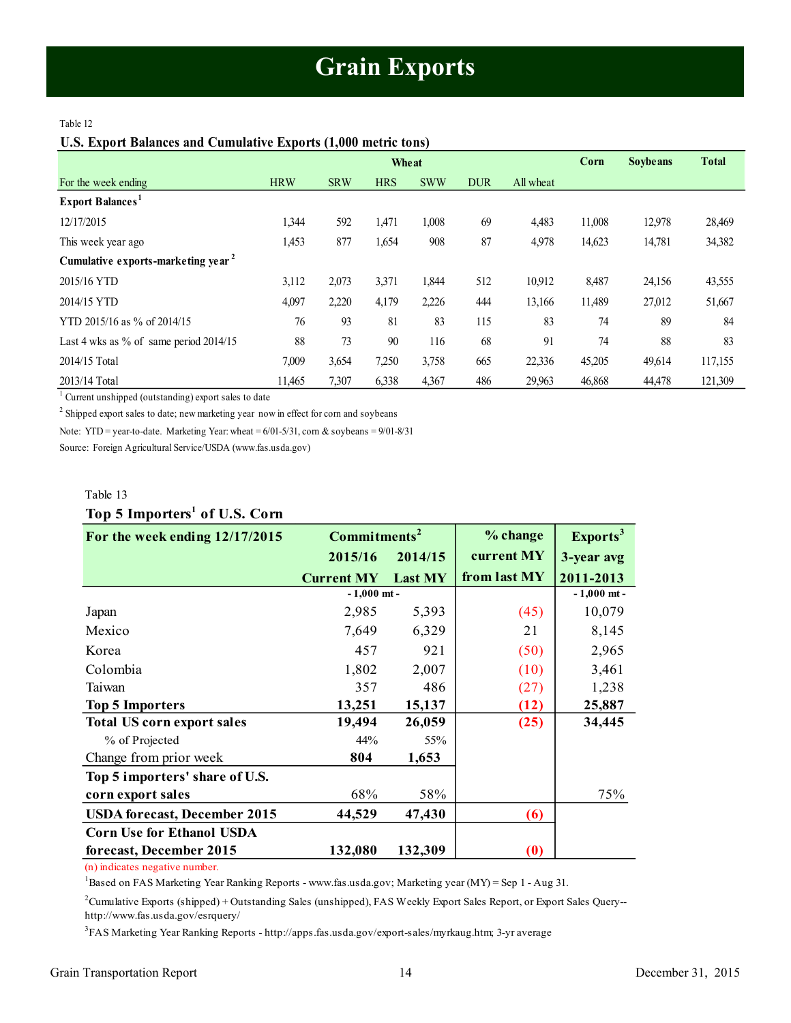## **Grain Exports**

#### <span id="page-13-1"></span><span id="page-13-0"></span>Table 12

### **U.S. Export Balances and Cumulative Exports (1,000 metric tons)**

|                                                | Wheat      |            |            |            |            | Corn      | <b>Soybeans</b> | <b>Total</b> |         |
|------------------------------------------------|------------|------------|------------|------------|------------|-----------|-----------------|--------------|---------|
| For the week ending                            | <b>HRW</b> | <b>SRW</b> | <b>HRS</b> | <b>SWW</b> | <b>DUR</b> | All wheat |                 |              |         |
| <b>Export Balances</b>                         |            |            |            |            |            |           |                 |              |         |
| 12/17/2015                                     | 1.344      | 592        | 1,471      | 1,008      | 69         | 4,483     | 11,008          | 12,978       | 28,469  |
| This week year ago                             | 1,453      | 877        | 1,654      | 908        | 87         | 4,978     | 14,623          | 14,781       | 34,382  |
| Cumulative exports-marketing year <sup>2</sup> |            |            |            |            |            |           |                 |              |         |
| 2015/16 YTD                                    | 3,112      | 2,073      | 3,371      | 1,844      | 512        | 10,912    | 8,487           | 24,156       | 43,555  |
| 2014/15 YTD                                    | 4,097      | 2,220      | 4,179      | 2,226      | 444        | 13,166    | 11,489          | 27,012       | 51,667  |
| YTD 2015/16 as % of 2014/15                    | 76         | 93         | 81         | 83         | 115        | 83        | 74              | 89           | 84      |
| Last 4 wks as % of same period $2014/15$       | 88         | 73         | 90         | 116        | 68         | 91        | 74              | 88           | 83      |
| 2014/15 Total                                  | 7,009      | 3,654      | 7,250      | 3,758      | 665        | 22,336    | 45,205          | 49,614       | 117,155 |
| 2013/14 Total                                  | 11.465     | 7,307      | 6,338      | 4,367      | 486        | 29.963    | 46,868          | 44,478       | 121,309 |

<sup>1</sup> Current unshipped (outstanding) export sales to date

 $2^2$  Shipped export sales to date; new marketing year now in effect for corn and soybeans

Note: YTD = year-to-date. Marketing Year: wheat = 6/01-5/31, corn & soybeans = 9/01-8/31

Source: Foreign Agricultural Service/USDA (www.fas.usda.gov)

### Table 13

## **Top 5 Importers<sup>1</sup> of U.S. Corn**

| For the week ending 12/17/2015      | Commitments <sup>2</sup> |                | % change     | Exports <sup>3</sup> |
|-------------------------------------|--------------------------|----------------|--------------|----------------------|
|                                     | 2015/16                  | 2014/15        | current MY   | 3-year avg           |
|                                     | <b>Current MY</b>        | <b>Last MY</b> | from last MY | 2011-2013            |
|                                     | $-1,000$ mt -            |                |              | $-1,000$ mt -        |
| Japan                               | 2,985                    | 5,393          | (45)         | 10,079               |
| Mexico                              | 7,649                    | 6,329          | 21           | 8,145                |
| Korea                               | 457                      | 921            | (50)         | 2,965                |
| Colombia                            | 1,802                    | 2,007          | (10)         | 3,461                |
| Taiwan                              | 357                      | 486            | (27)         | 1,238                |
| <b>Top 5 Importers</b>              | 13,251                   | 15,137         | (12)         | 25,887               |
| <b>Total US corn export sales</b>   | 19,494                   | 26,059         | (25)         | 34,445               |
| % of Projected                      | 44%                      | 55%            |              |                      |
| Change from prior week              | 804                      | 1,653          |              |                      |
| Top 5 importers' share of U.S.      |                          |                |              |                      |
| corn export sales                   | 68%                      | 58%            |              | 75%                  |
| <b>USDA</b> forecast, December 2015 | 44,529                   | 47,430         | (6)          |                      |
| <b>Corn Use for Ethanol USDA</b>    |                          |                |              |                      |
| forecast, December 2015             | 132,080                  | 132,309        | (0)          |                      |

(n) indicates negative number.

<sup>1</sup>Based on FAS Marketing Year Ranking Reports - www.fas.usda.gov; Marketing year (MY) = Sep 1 - Aug 31.

<sup>2</sup>Cumulative Exports (shipped) + Outstanding Sales (unshipped), FAS Weekly Export Sales Report, or Export Sales Query- http://www.fas.usda.gov/esrquery/

3 FAS Marketing Year Ranking Reports - http://apps.fas.usda.gov/export-sales/myrkaug.htm; 3-yr average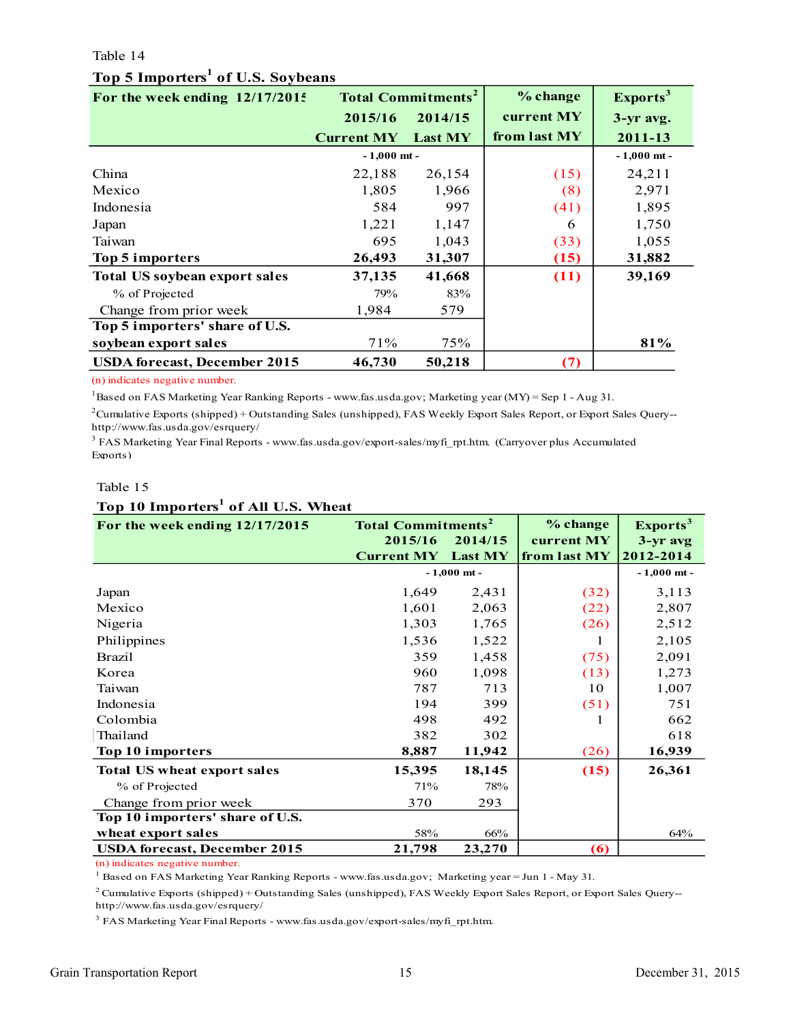### <span id="page-14-0"></span>Table 14

## **Top 5 Importers<sup>1</sup> of U.S. Soybeans**

| For the week ending 12/17/2015       |                   | <b>Total Commitments<sup>2</sup></b> | % change     | Exports <sup>3</sup> |
|--------------------------------------|-------------------|--------------------------------------|--------------|----------------------|
|                                      | 2015/16           | 2014/15                              | current MY   | 3-yr avg.            |
|                                      | <b>Current MY</b> | <b>Last MY</b>                       | from last MY | 2011-13              |
|                                      | $-1,000$ mt -     |                                      |              | $-1,000$ mt -        |
| China                                | 22,188            | 26,154                               | (15)         | 24,211               |
| Mexico                               | 1,805             | 1,966                                | (8)          | 2,971                |
| Indonesia                            | 584               | 997                                  | (41)         | 1,895                |
| Japan                                | 1,221             | 1,147                                | 6            | 1,750                |
| Taiwan                               | 695               | 1,043                                | (33)         | 1,055                |
| Top 5 importers                      | 26,493            | 31,307                               | (15)         | 31,882               |
| <b>Total US soybean export sales</b> | 37,135            | 41,668                               | (11)         | 39,169               |
| % of Projected                       | 79%               | 83%                                  |              |                      |
| Change from prior week               | 1,984             | 579                                  |              |                      |
| Top 5 importers' share of U.S.       |                   |                                      |              |                      |
| soybean export sales                 | 71%               | 75%                                  |              | 81%                  |
| <b>USDA</b> forecast, December 2015  | 46,730            | 50,218                               | (7)          |                      |

(n) indicates negative number.

<sup>1</sup>Based on FAS Marketing Year Ranking Reports - www.fas.usda.gov; Marketing year (MY) = Sep 1 - Aug 31.

 $2$ Cumulative Exports (shipped) + Outstanding Sales (unshipped), FAS Weekly Export Sales Report, or Export Sales Query-http://www.fas.usda.gov/esrquery/

<sup>3</sup> FAS Marketing Year Final Reports - www.fas.usda.gov/export-sales/myfi\_rpt.htm. (Carryover plus Accumulated Exports)

## Table 15

## **Top 10 Importers<sup>1</sup> of All U.S. Wheat**

| For the week ending 12/17/2015      | <b>Total Commitments<sup>2</sup></b> |                | % change          | Exports <sup>3</sup> |
|-------------------------------------|--------------------------------------|----------------|-------------------|----------------------|
|                                     | 2015/16                              | 2014/15        | current MY        | $3 - yr$ avg         |
|                                     | <b>Current MY</b>                    | <b>Last MY</b> | from last MY      | 2012-2014            |
|                                     |                                      | $-1,000$ mt -  |                   | $-1,000$ mt -        |
| Japan                               | 1,649                                | 2,431          | (32)              | 3,113                |
| Mexico                              | 1,601                                | 2,063          | (22)              | 2,807                |
| Nigeria                             | 1,303                                | 1,765          | (26)              | 2,512                |
| Philippines                         | 1,536                                | 1,522          | 1                 | 2,105                |
| <b>Brazil</b>                       | 359                                  | 1,458          | (75)              | 2,091                |
| Korea                               | 960                                  | 1,098          | (13)              | 1,273                |
| Taiwan                              | 787                                  | 713            | 10                | 1,007                |
| Indonesia                           | 194                                  | 399            | (51)              | 751                  |
| Colombia                            | 498                                  | 492            |                   | 662                  |
| Thailand                            | 382                                  | 302            |                   | 618                  |
| Top 10 importers                    | 8,887                                | 11,942         | (26)              | 16,939               |
| <b>Total US wheat export sales</b>  | 15,395                               | 18,145         | (15)              | 26,361               |
| % of Projected                      | 71%                                  | 78%            |                   |                      |
| Change from prior week              | 370                                  | 293            |                   |                      |
| Top 10 importers' share of U.S.     |                                      |                |                   |                      |
| wheat export sales                  | 58%                                  | 66%            |                   | 64%                  |
| <b>USDA</b> forecast, December 2015 | 21,798                               | 23,270         | $\left( 6\right)$ |                      |

(n) indicates negative number.

<sup>1</sup> Based on FAS Marketing Year Ranking Reports - www.fas.usda.gov; Marketing year = Jun 1 - May 31.

 $2$  Cumulative Exports (shipped) + Outstanding Sales (unshipped), FAS Weekly Export Sales Report, or Export Sales Query-http://www.fas.usda.gov/esrquery/

<sup>3</sup> FAS Marketing Year Final Reports - www.fas.usda.gov/export-sales/myfi\_rpt.htm.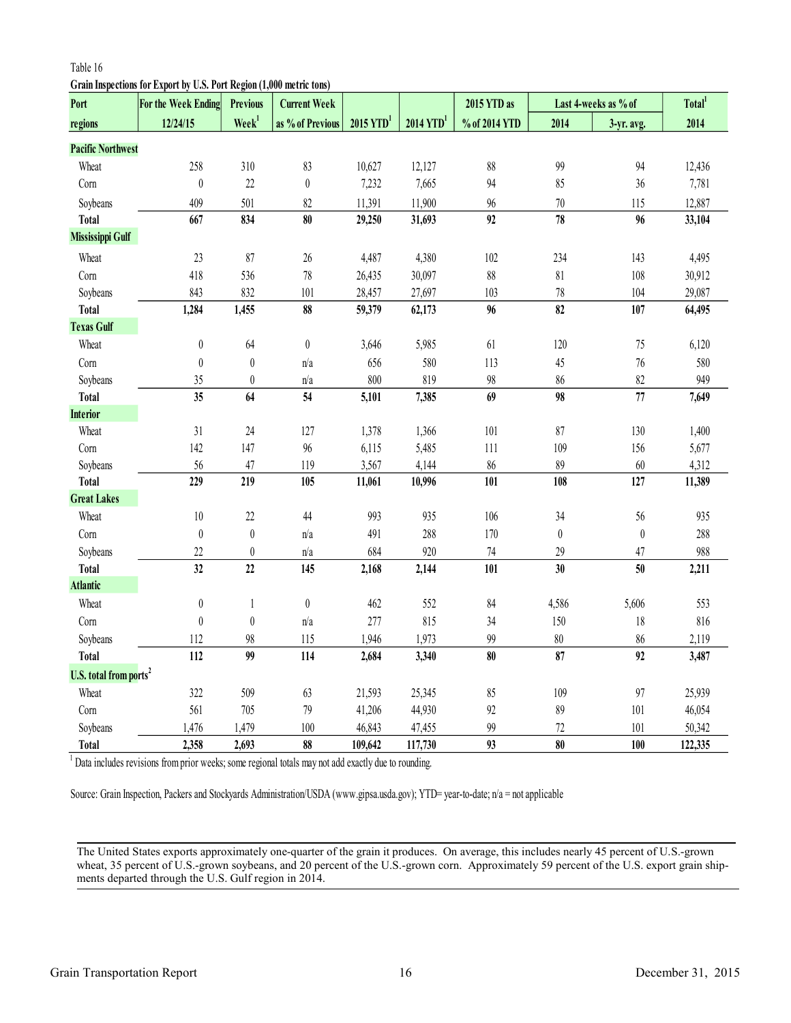## <span id="page-15-0"></span>Table 16

**Grain Inspections for Export by U.S. Port Region (1,000 metric tons)**

| Port                               | For the Week Ending | <b>Previous</b>   | <b>Current Week</b> |                         |                         | 2015 YTD as                  |                  | Last 4-weeks as % of | Total <sup>1</sup> |
|------------------------------------|---------------------|-------------------|---------------------|-------------------------|-------------------------|------------------------------|------------------|----------------------|--------------------|
| regions                            | 12/24/15            | Week <sup>1</sup> | as % of Previous    | $2015$ YTD <sup>1</sup> | $2014$ YTD <sup>1</sup> | % of 2014 YTD                | 2014             | 3-yr. avg.           | 2014               |
| <b>Pacific Northwest</b>           |                     |                   |                     |                         |                         |                              |                  |                      |                    |
| Wheat                              | 258                 | 310               | 83                  | 10,627                  | 12,127                  | $88\,$                       | 99               | 94                   | 12,436             |
| Corn                               | $\boldsymbol{0}$    | 22                | $\boldsymbol{0}$    | 7,232                   | 7,665                   | 94                           | 85               | 36                   | 7,781              |
| Soybeans                           | 409                 | 501               | 82                  | 11,391                  | 11,900                  | 96                           | $70\,$           | 115                  | 12,887             |
| <b>Total</b>                       | 667                 | 834               | 80                  | 29,250                  | 31,693                  | 92                           | 78               | 96                   | 33,104             |
| Mississippi Gulf                   |                     |                   |                     |                         |                         |                              |                  |                      |                    |
| Wheat                              | 23                  | 87                | $26\,$              | 4,487                   | 4,380                   | 102                          | 234              | 143                  | 4,495              |
| Corn                               | 418                 | 536               | $78\,$              | 26,435                  | 30,097                  | $88\,$                       | 81               | 108                  | 30,912             |
| Soybeans                           | 843                 | 832               | 101                 | 28,457                  | 27,697                  | 103                          | $78\,$           | 104                  | 29,087             |
| <b>Total</b>                       | 1,284               | 1,455             | 88                  | 59,379                  | 62,173                  | 96                           | 82               | 107                  | 64,495             |
| <b>Texas Gulf</b>                  |                     |                   |                     |                         |                         |                              |                  |                      |                    |
| Wheat                              | $\boldsymbol{0}$    | 64                | $\boldsymbol{0}$    | 3,646                   | 5,985                   | 61                           | 120              | 75                   | 6,120              |
| Corn                               | $\boldsymbol{0}$    | $\boldsymbol{0}$  | n/a                 | 656                     | 580                     | 113                          | 45               | 76                   | 580                |
| Soybeans                           | 35                  | $\boldsymbol{0}$  | n/a                 | 800                     | 819                     | 98                           | 86               | 82                   | 949                |
| <b>Total</b>                       | 35                  | 64                | 54                  | 5,101                   | 7,385                   | 69                           | 98               | 77                   | 7,649              |
| <b>Interior</b>                    |                     |                   |                     |                         |                         |                              |                  |                      |                    |
| Wheat                              | 31                  | 24                | 127                 | 1,378                   | 1,366                   | $101$                        | 87               | 130                  | 1,400              |
| Corn                               | 142                 | 147               | 96                  | 6,115                   | 5,485                   | $111$                        | 109              | 156                  | 5,677              |
| Soybeans                           | 56                  | 47                | 119                 | 3,567                   | 4,144                   | 86                           | 89               | 60                   | 4,312              |
| <b>Total</b>                       | 229                 | 219               | 105                 | 11,061                  | 10,996                  | 101                          | 108              | 127                  | 11,389             |
| <b>Great Lakes</b>                 |                     |                   |                     |                         |                         |                              |                  |                      |                    |
| Wheat                              | 10                  | 22                | 44                  | 993                     | 935                     | 106                          | 34               | 56                   | 935                |
| Corn                               | $\boldsymbol{0}$    | $\boldsymbol{0}$  | n/a                 | 491                     | 288                     | 170                          | $\boldsymbol{0}$ | $\boldsymbol{0}$     | 288                |
| Soybeans                           | 22                  | $\boldsymbol{0}$  | n/a                 | 684                     | 920                     | $74\,$                       | 29               | 47                   | 988                |
| <b>Total</b>                       | $\overline{32}$     | 22                | 145                 | 2,168                   | 2,144                   | 101                          | 30               | 50                   | 2,211              |
| <b>Atlantic</b>                    |                     |                   |                     |                         |                         |                              |                  |                      |                    |
| Wheat                              | $\boldsymbol{0}$    | $\mathbf{1}$      | $\boldsymbol{0}$    | 462                     | 552                     | 84                           | 4,586            | 5,606                | 553                |
| Corn                               | $\boldsymbol{0}$    | $\boldsymbol{0}$  | n/a                 | 277                     | 815                     | 34                           | 150              | $18\,$               | 816                |
| Soybeans                           | 112                 | 98                | 115                 | 1,946                   | 1,973                   | 99                           | $\rm 80$         | 86                   | 2,119              |
| <b>Total</b>                       | $\frac{1}{112}$     | 99                | 114                 | 2,684                   | 3,340                   | $\overline{\boldsymbol{80}}$ | 87               | $\overline{92}$      | 3,487              |
| U.S. total from ports <sup>2</sup> |                     |                   |                     |                         |                         |                              |                  |                      |                    |
| Wheat                              | 322                 | 509               | 63                  | 21,593                  | 25,345                  | 85                           | 109              | 97                   | 25,939             |
| Corn                               | 561                 | 705               | 79                  | 41,206                  | 44,930                  | 92                           | 89               | 101                  | 46,054             |
| Soybeans                           | 1,476               | 1,479             | 100                 | 46,843                  | 47,455                  | 99                           | 72               | 101                  | 50,342             |
| <b>Total</b>                       | 2,358               | 2,693             | 88                  | 109,642                 | 117,730                 | 93                           | 80               | 100                  | 122,335            |

<sup>1</sup> Data includes revisions from prior weeks; some regional totals may not add exactly due to rounding.

Source: Grain Inspection, Packers and Stockyards Administration/USDA (www.gipsa.usda.gov); YTD= year-to-date; n/a = not applicable

The United States exports approximately one-quarter of the grain it produces. On average, this includes nearly 45 percent of U.S.-grown wheat, 35 percent of U.S.-grown soybeans, and 20 percent of the U.S.-grown corn. Approximately 59 percent of the U.S. export grain shipments departed through the U.S. Gulf region in 2014.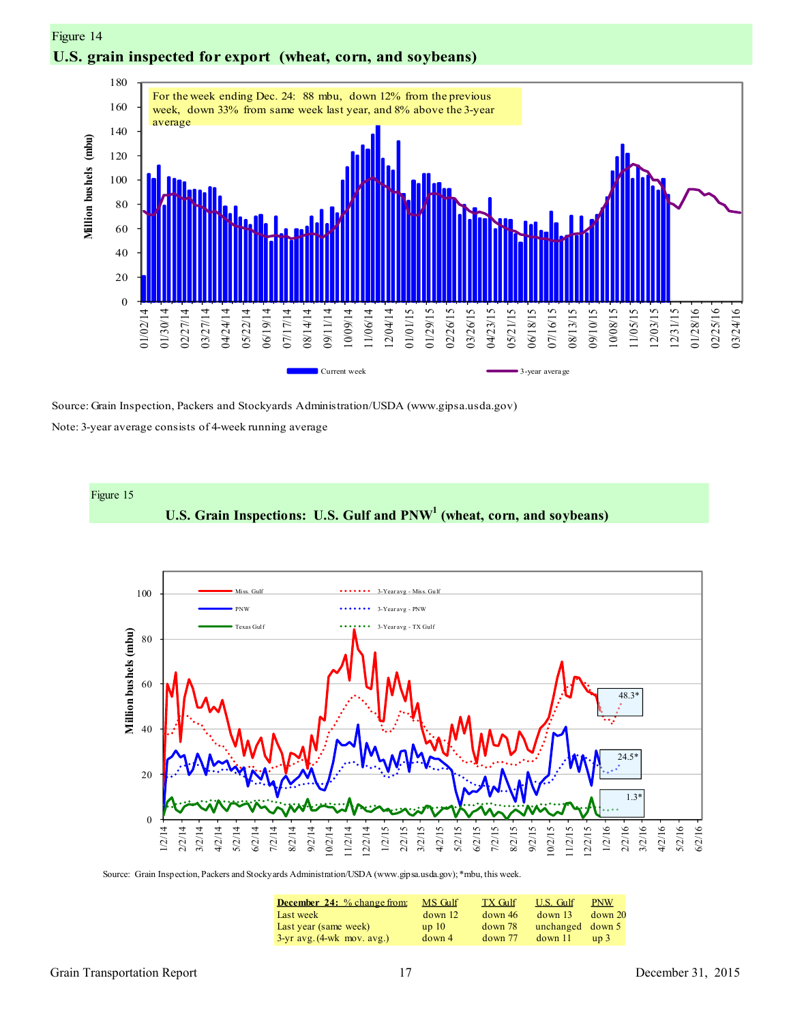



Source: Grain Inspection, Packers and Stockyards Administration/USDA (www.gipsa.usda.gov)

Note: 3-year average consists of 4-week running average



Source: Grain Inspection, Packers and Stockyards Administration/USDA (www.gipsa.usda.gov); \*mbu, this week.

| <b>December 24:</b> % change from: | MS Gulf | <b>TX Gulf</b> | U.S. Gulf        | <b>PNW</b>      |
|------------------------------------|---------|----------------|------------------|-----------------|
| Last week                          | down 12 | down 46        | down 13          | $down$ 20       |
| Last year (same week)              | up10    | $down$ 78      | unchanged down 5 |                 |
| $3$ -yr avg. $(4$ -wk mov. avg.)   | down 4  | $down$ 77      | $down$ 11        | up <sub>3</sub> |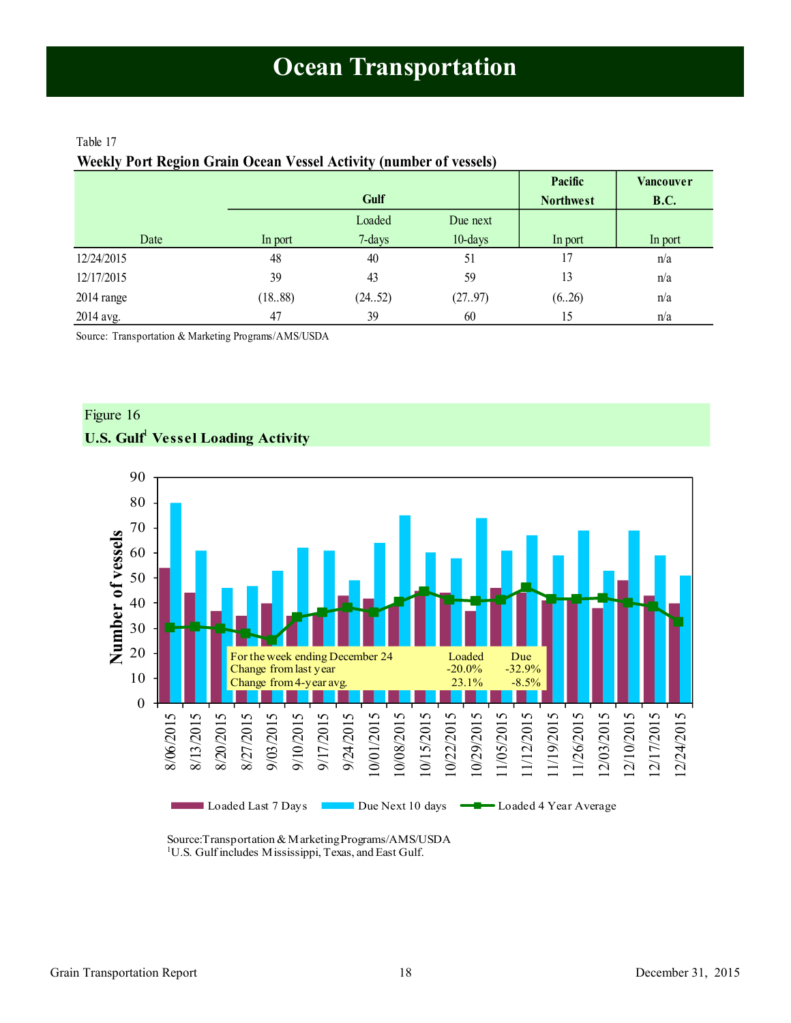## <span id="page-17-1"></span><span id="page-17-0"></span>Table 17

|  |  | Weekly Port Region Grain Ocean Vessel Activity (number of vessels) |
|--|--|--------------------------------------------------------------------|
|  |  |                                                                    |
|  |  |                                                                    |
|  |  |                                                                    |

|            |         |        |            | Pacific          | <b>Vancouver</b> |
|------------|---------|--------|------------|------------------|------------------|
|            |         | Gulf   |            | <b>Northwest</b> | <b>B.C.</b>      |
|            |         | Loaded | Due next   |                  |                  |
| Date       | In port | 7-days | $10$ -days | In port          | In port          |
| 12/24/2015 | 48      | 40     | 51         | 17               | n/a              |
| 12/17/2015 | 39      | 43     | 59         | 13               | n/a              |
| 2014 range | (1888)  | (2452) | (27.97)    | (626)            | n/a              |
| 2014 avg.  | 47      | 39     | 60         | 15               | n/a              |

Source: Transportation & Marketing Programs/AMS/USDA





Source:Transportation & Marketing Programs/AMS/USDA <sup>1</sup>U.S. Gulf includes Mississippi, Texas, and East Gulf.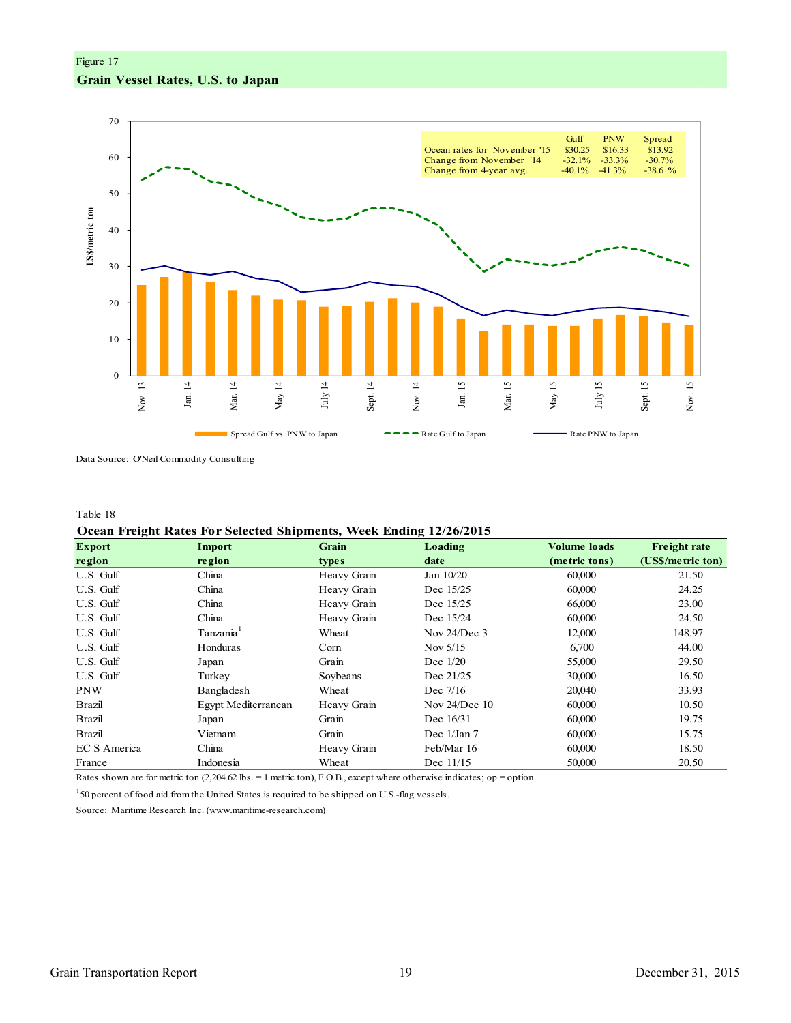Figure 17

## **Grain Vessel Rates, U.S. to Japan**



Data Source: O'Neil Commodity Consulting

#### Table 18

#### **Ocean Freight Rates For Selected Shipments, Week Ending 12/26/2015**

| <b>Export</b> | Import                | Grain       | Loading         | <b>Volume loads</b> | <b>Freight rate</b> |
|---------------|-----------------------|-------------|-----------------|---------------------|---------------------|
| region        | region                | types       | date            | (metric tons)       | (US\$/metric ton)   |
| U.S. Gulf     | China                 | Heavy Grain | Jan 10/20       | 60,000              | 21.50               |
| U.S. Gulf     | China                 | Heavy Grain | Dec 15/25       | 60,000              | 24.25               |
| U.S. Gulf     | China                 | Heavy Grain | Dec 15/25       | 66,000              | 23.00               |
| U.S. Gulf     | China                 | Heavy Grain | Dec 15/24       | 60,000              | 24.50               |
| U.S. Gulf     | Tanzania <sup>1</sup> | Wheat       | Nov $24/Dec$ 3  | 12,000              | 148.97              |
| U.S. Gulf     | Honduras              | Corn        | Nov $5/15$      | 6,700               | 44.00               |
| U.S. Gulf     | Japan                 | Grain       | Dec $1/20$      | 55,000              | 29.50               |
| U.S. Gulf     | Turkey                | Soybeans    | Dec 21/25       | 30,000              | 16.50               |
| <b>PNW</b>    | Bangladesh            | Wheat       | Dec $7/16$      | 20,040              | 33.93               |
| Brazil        | Egypt Mediterranean   | Heavy Grain | Nov $24/Dec$ 10 | 60,000              | 10.50               |
| Brazil        | Japan                 | Grain       | Dec 16/31       | 60,000              | 19.75               |
| Brazil        | Vietnam               | Grain       | Dec $1/Jan 7$   | 60,000              | 15.75               |
| EC S America  | China                 | Heavy Grain | Feb/Mar 16      | 60,000              | 18.50               |
| France        | Indonesia             | Wheat       | Dec 11/15       | 50,000              | 20.50               |

Rates shown are for metric ton (2,204.62 lbs. = 1 metric ton), F.O.B., except where otherwise indicates; op = option

<sup>1</sup>50 percent of food aid from the United States is required to be shipped on U.S.-flag vessels.

Source: Maritime Research Inc. (www.maritime-research.com)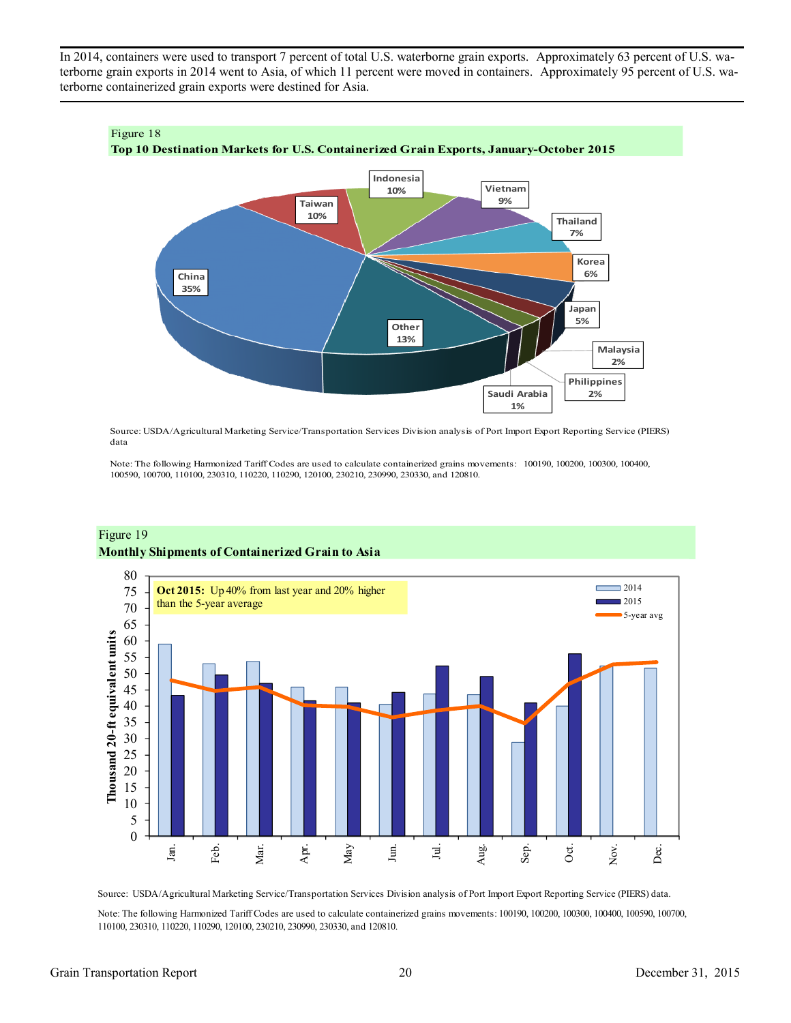In 2014, containers were used to transport 7 percent of total U.S. waterborne grain exports. Approximately 63 percent of U.S. waterborne grain exports in 2014 went to Asia, of which 11 percent were moved in containers. Approximately 95 percent of U.S. waterborne containerized grain exports were destined for Asia.



Source: USDA/Agricultural Marketing Service/Transportation Services Division analysis of Port Import Export Reporting Service (PIERS) data

Note: The following Harmonized Tariff Codes are used to calculate containerized grains movements: 100190, 100200, 100300, 100400, 100590, 100700, 110100, 230310, 110220, 110290, 120100, 230210, 230990, 230330, and 120810.



## Figure 19 **Monthly Shipments of Containerized Grain to Asia**

Source: USDA/Agricultural Marketing Service/Transportation Services Division analysis of Port Import Export Reporting Service (PIERS) data.

Note: The following Harmonized Tariff Codes are used to calculate containerized grains movements: 100190, 100200, 100300, 100400, 100590, 100700, 110100, 230310, 110220, 110290, 120100, 230210, 230990, 230330, and 120810.